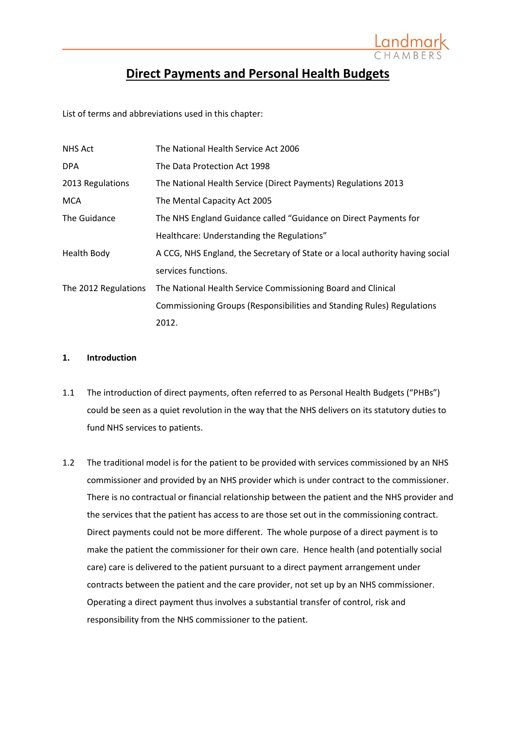

# **Direct Payments and Personal Health Budgets**

List of terms and abbreviations used in this chapter:

| <b>NHS Act</b>       | The National Health Service Act 2006                                          |
|----------------------|-------------------------------------------------------------------------------|
| <b>DPA</b>           | The Data Protection Act 1998                                                  |
| 2013 Regulations     | The National Health Service (Direct Payments) Regulations 2013                |
| <b>MCA</b>           | The Mental Capacity Act 2005                                                  |
| The Guidance         | The NHS England Guidance called "Guidance on Direct Payments for              |
|                      | Healthcare: Understanding the Regulations"                                    |
| <b>Health Body</b>   | A CCG, NHS England, the Secretary of State or a local authority having social |
|                      | services functions.                                                           |
| The 2012 Regulations | The National Health Service Commissioning Board and Clinical                  |
|                      | Commissioning Groups (Responsibilities and Standing Rules) Regulations        |
|                      | 2012.                                                                         |

### **1. Introduction**

- 1.1 The introduction of direct payments, often referred to as Personal Health Budgets ("PHBs") could be seen as a quiet revolution in the way that the NHS delivers on its statutory duties to fund NHS services to patients.
- 1.2 The traditional model is for the patient to be provided with services commissioned by an NHS commissioner and provided by an NHS provider which is under contract to the commissioner. There is no contractual or financial relationship between the patient and the NHS provider and the services that the patient has access to are those set out in the commissioning contract. Direct payments could not be more different. The whole purpose of a direct payment is to make the patient the commissioner for their own care. Hence health (and potentially social care) care is delivered to the patient pursuant to a direct payment arrangement under contracts between the patient and the care provider, not set up by an NHS commissioner. Operating a direct payment thus involves a substantial transfer of control, risk and responsibility from the NHS commissioner to the patient.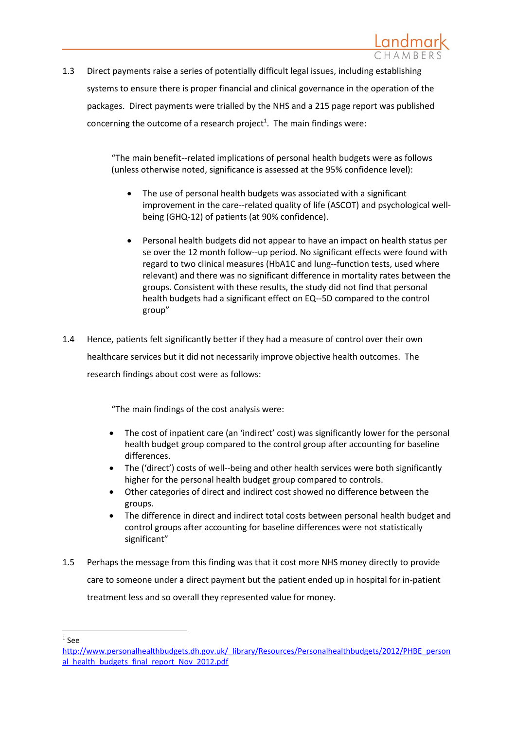1.3 Direct payments raise a series of potentially difficult legal issues, including establishing systems to ensure there is proper financial and clinical governance in the operation of the packages. Direct payments were trialled by the NHS and a 215 page report was published concerning the outcome of a research project<sup>1</sup>. The main findings were:

> "The main benefit-‐related implications of personal health budgets were as follows (unless otherwise noted, significance is assessed at the 95% confidence level):

- The use of personal health budgets was associated with a significant improvement in the care--related quality of life (ASCOT) and psychological wellbeing (GHQ‐12) of patients (at 90% confidence).
- Personal health budgets did not appear to have an impact on health status per se over the 12 month follow--up period. No significant effects were found with regard to two clinical measures (HbA1C and lung-‐function tests, used where relevant) and there was no significant difference in mortality rates between the groups. Consistent with these results, the study did not find that personal health budgets had a significant effect on EQ-‐5D compared to the control group"
- 1.4 Hence, patients felt significantly better if they had a measure of control over their own healthcare services but it did not necessarily improve objective health outcomes. The research findings about cost were as follows:

"The main findings of the cost analysis were:

- The cost of inpatient care (an 'indirect' cost) was significantly lower for the personal health budget group compared to the control group after accounting for baseline differences.
- The ('direct') costs of well--being and other health services were both significantly higher for the personal health budget group compared to controls.
- Other categories of direct and indirect cost showed no difference between the groups.
- The difference in direct and indirect total costs between personal health budget and control groups after accounting for baseline differences were not statistically significant"
- 1.5 Perhaps the message from this finding was that it cost more NHS money directly to provide care to someone under a direct payment but the patient ended up in hospital for in-patient treatment less and so overall they represented value for money.

1 See

1

[http://www.personalhealthbudgets.dh.gov.uk/\\_library/Resources/Personalhealthbudgets/2012/PHBE\\_person](http://www.personalhealthbudgets.dh.gov.uk/_library/Resources/Personalhealthbudgets/2012/PHBE_personal_health_budgets_final_report_Nov_2012.pdf) [al\\_health\\_budgets\\_final\\_report\\_Nov\\_2012.pdf](http://www.personalhealthbudgets.dh.gov.uk/_library/Resources/Personalhealthbudgets/2012/PHBE_personal_health_budgets_final_report_Nov_2012.pdf)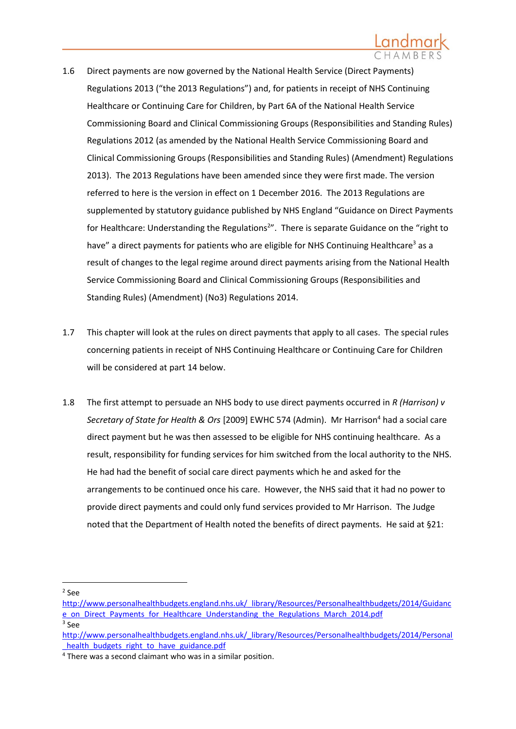- 1.6 Direct payments are now governed by the National Health Service (Direct Payments) Regulations 2013 ("the 2013 Regulations") and, for patients in receipt of NHS Continuing Healthcare or Continuing Care for Children, by Part 6A of the National Health Service Commissioning Board and Clinical Commissioning Groups (Responsibilities and Standing Rules) Regulations 2012 (as amended by the National Health Service Commissioning Board and Clinical Commissioning Groups (Responsibilities and Standing Rules) (Amendment) Regulations 2013). The 2013 Regulations have been amended since they were first made. The version referred to here is the version in effect on 1 December 2016. The 2013 Regulations are supplemented by statutory guidance published by NHS England "Guidance on Direct Payments for Healthcare: Understanding the Regulations<sup>2</sup>". There is separate Guidance on the "right to have" a direct payments for patients who are eligible for NHS Continuing Healthcare<sup>3</sup> as a result of changes to the legal regime around direct payments arising from the National Health Service Commissioning Board and Clinical Commissioning Groups (Responsibilities and Standing Rules) (Amendment) (No3) Regulations 2014.
- 1.7 This chapter will look at the rules on direct payments that apply to all cases. The special rules concerning patients in receipt of NHS Continuing Healthcare or Continuing Care for Children will be considered at part [14](#page-51-0) below.
- 1.8 The first attempt to persuade an NHS body to use direct payments occurred in *R (Harrison) v*  Secretary of State for Health & Ors [2009] EWHC 574 (Admin). Mr Harrison<sup>4</sup> had a social care direct payment but he was then assessed to be eligible for NHS continuing healthcare. As a result, responsibility for funding services for him switched from the local authority to the NHS. He had had the benefit of social care direct payments which he and asked for the arrangements to be continued once his care. However, the NHS said that it had no power to provide direct payments and could only fund services provided to Mr Harrison. The Judge noted that the Department of Health noted the benefits of direct payments. He said at §21:

2 See

[http://www.personalhealthbudgets.england.nhs.uk/\\_library/Resources/Personalhealthbudgets/2014/Guidanc](http://www.personalhealthbudgets.england.nhs.uk/_library/Resources/Personalhealthbudgets/2014/Guidance_on_Direct_Payments_for_Healthcare_Understanding_the_Regulations_March_2014.pdf) [e\\_on\\_Direct\\_Payments\\_for\\_Healthcare\\_Understanding\\_the\\_Regulations\\_March\\_2014.pdf](http://www.personalhealthbudgets.england.nhs.uk/_library/Resources/Personalhealthbudgets/2014/Guidance_on_Direct_Payments_for_Healthcare_Understanding_the_Regulations_March_2014.pdf) 3 See

[http://www.personalhealthbudgets.england.nhs.uk/\\_library/Resources/Personalhealthbudgets/2014/Personal](http://www.personalhealthbudgets.england.nhs.uk/_library/Resources/Personalhealthbudgets/2014/Personal_health_budgets_right_to_have_guidance.pdf) health\_budgets\_right\_to\_have\_guidance.pdf

<sup>4</sup> There was a second claimant who was in a similar position.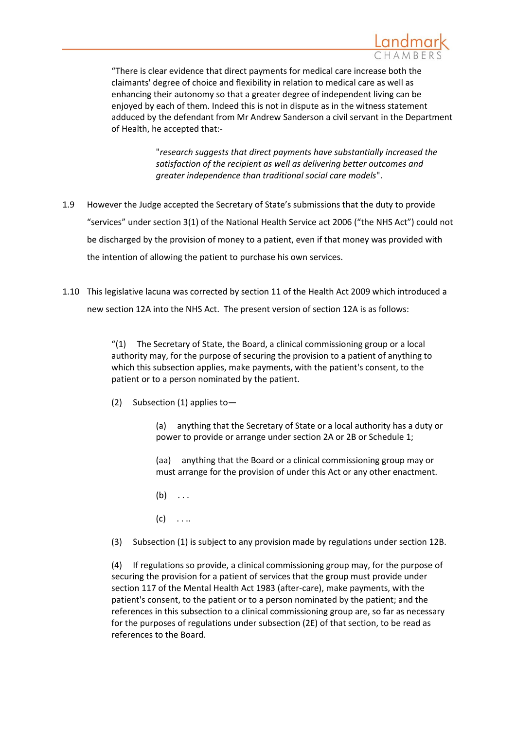

"There is clear evidence that direct payments for medical care increase both the claimants' degree of choice and flexibility in relation to medical care as well as enhancing their autonomy so that a greater degree of independent living can be enjoyed by each of them. Indeed this is not in dispute as in the witness statement adduced by the defendant from Mr Andrew Sanderson a civil servant in the Department of Health, he accepted that:-

> "*research suggests that direct payments have substantially increased the satisfaction of the recipient as well as delivering better outcomes and greater independence than traditional social care models*".

- 1.9 However the Judge accepted the Secretary of State's submissions that the duty to provide "services" under section 3(1) of the National Health Service act 2006 ("the NHS Act") could not be discharged by the provision of money to a patient, even if that money was provided with the intention of allowing the patient to purchase his own services.
- 1.10 This legislative lacuna was corrected by section 11 of the Health Act 2009 which introduced a new section 12A into the NHS Act. The present version of section 12A is as follows:

"(1) The Secretary of State, the Board, a clinical commissioning group or a local authority may, for the purpose of securing the provision to a patient of anything to which this subsection applies, make payments, with the patient's consent, to the patient or to a person nominated by the patient.

(2) Subsection (1) applies to—

(a) anything that the Secretary of State or a local authority has a duty or power to provide or arrange under section 2A or 2B or Schedule 1;

(aa) anything that the Board or a clinical commissioning group may or must arrange for the provision of under this Act or any other enactment.

- $(b) \ldots$
- $(c) \quad \ldots$

(3) Subsection (1) is subject to any provision made by regulations under section 12B.

(4) If regulations so provide, a clinical commissioning group may, for the purpose of securing the provision for a patient of services that the group must provide under section 117 of the Mental Health Act 1983 (after-care), make payments, with the patient's consent, to the patient or to a person nominated by the patient; and the references in this subsection to a clinical commissioning group are, so far as necessary for the purposes of regulations under subsection (2E) of that section, to be read as references to the Board.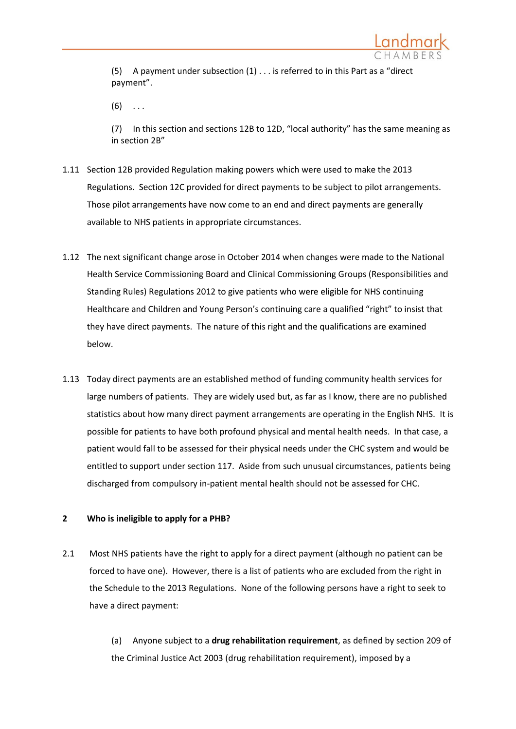

(5) A payment under subsection (1) . . . is referred to in this Part as a "direct payment".

 $(6)$  ...

(7) In this section and sections 12B to 12D, "local authority" has the same meaning as in section 2B"

- 1.11 Section 12B provided Regulation making powers which were used to make the 2013 Regulations. Section 12C provided for direct payments to be subject to pilot arrangements. Those pilot arrangements have now come to an end and direct payments are generally available to NHS patients in appropriate circumstances.
- 1.12 The next significant change arose in October 2014 when changes were made to the National Health Service Commissioning Board and Clinical Commissioning Groups (Responsibilities and Standing Rules) Regulations 2012 to give patients who were eligible for NHS continuing Healthcare and Children and Young Person's continuing care a qualified "right" to insist that they have direct payments. The nature of this right and the qualifications are examined below.
- 1.13 Today direct payments are an established method of funding community health services for large numbers of patients. They are widely used but, as far as I know, there are no published statistics about how many direct payment arrangements are operating in the English NHS. It is possible for patients to have both profound physical and mental health needs. In that case, a patient would fall to be assessed for their physical needs under the CHC system and would be entitled to support under section 117. Aside from such unusual circumstances, patients being discharged from compulsory in-patient mental health should not be assessed for CHC.

### <span id="page-4-0"></span>**2 Who is ineligible to apply for a PHB?**

2.1 Most NHS patients have the right to apply for a direct payment (although no patient can be forced to have one). However, there is a list of patients who are excluded from the right in the Schedule to the 2013 Regulations. None of the following persons have a right to seek to have a direct payment:

> (a) Anyone subject to a **drug rehabilitation requirement**, as defined by section 209 of the Criminal Justice Act 2003 (drug rehabilitation requirement), imposed by a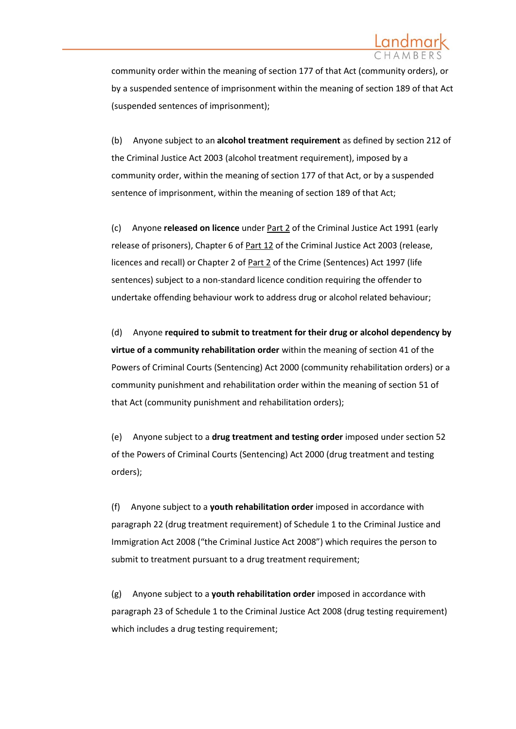community order within the meaning of section 177 of that Act (community orders), or by a suspended sentence of imprisonment within the meaning of section 189 of that Act (suspended sentences of imprisonment);

(b) Anyone subject to an **alcohol treatment requirement** as defined by section 212 of the Criminal Justice Act 2003 (alcohol treatment requirement), imposed by a community order, within the meaning of section 177 of that Act, or by a suspended sentence of imprisonment, within the meaning of section 189 of that Act;

(c) Anyone **released on licence** under [Part 2](https://www.lexisnexis.com/uk/legal/search/enhRunRemoteLink.do?A=0.7875836453391901&service=citation&langcountry=GB&backKey=20_T24987111561&linkInfo=F%23GB%23UK_ACTS%23num%251991_53a%25part%252%25&ersKey=23_T24987111560) of the Criminal Justice Act 1991 (early release of prisoners), Chapter 6 of [Part 12](https://www.lexisnexis.com/uk/legal/search/enhRunRemoteLink.do?A=0.3708571445282516&service=citation&langcountry=GB&backKey=20_T24987111561&linkInfo=F%23GB%23UK_ACTS%23num%252003_44a%25part%2512%25&ersKey=23_T24987111560) of the Criminal Justice Act 2003 (release, licences and recall) or Chapter 2 of [Part 2](https://www.lexisnexis.com/uk/legal/search/enhRunRemoteLink.do?A=0.8033505248918011&service=citation&langcountry=GB&backKey=20_T24987111561&linkInfo=F%23GB%23UK_ACTS%23num%251997_43a%25part%252%25&ersKey=23_T24987111560) of the Crime (Sentences) Act 1997 (life sentences) subject to a non-standard licence condition requiring the offender to undertake offending behaviour work to address drug or alcohol related behaviour;

(d) Anyone **required to submit to treatment for their drug or alcohol dependency by virtue of a community rehabilitation order** within the meaning of section 41 of the Powers of Criminal Courts (Sentencing) Act 2000 (community rehabilitation orders) or a community punishment and rehabilitation order within the meaning of section 51 of that Act (community punishment and rehabilitation orders);

(e) Anyone subject to a **drug treatment and testing order** imposed under section 52 of the Powers of Criminal Courts (Sentencing) Act 2000 (drug treatment and testing orders);

(f) Anyone subject to a **youth rehabilitation order** imposed in accordance with paragraph 22 (drug treatment requirement) of Schedule 1 to the Criminal Justice and Immigration Act 2008 ("the Criminal Justice Act 2008") which requires the person to submit to treatment pursuant to a drug treatment requirement;

(g) Anyone subject to a **youth rehabilitation order** imposed in accordance with paragraph 23 of Schedule 1 to the Criminal Justice Act 2008 (drug testing requirement) which includes a drug testing requirement;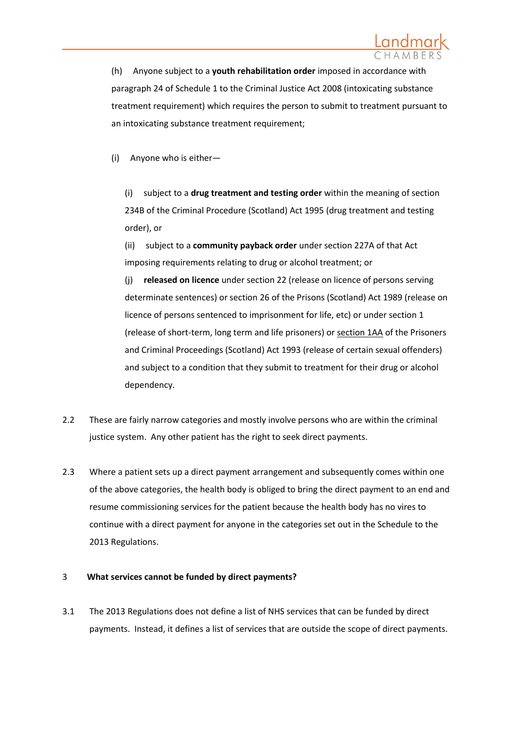

(h) Anyone subject to a **youth rehabilitation order** imposed in accordance with paragraph 24 of Schedule 1 to the Criminal Justice Act 2008 (intoxicating substance treatment requirement) which requires the person to submit to treatment pursuant to an intoxicating substance treatment requirement;

(i) Anyone who is either—

(i) subject to a **drug treatment and testing order** within the meaning of section 234B of the Criminal Procedure (Scotland) Act 1995 (drug treatment and testing order), or

(ii) subject to a **community payback order** under section 227A of that Act imposing requirements relating to drug or alcohol treatment; or

(j) **released on licence** under section 22 (release on licence of persons serving determinate sentences) or section 26 of the Prisons (Scotland) Act 1989 (release on licence of persons sentenced to imprisonment for life, etc) or under section 1 (release of short-term, long term and life prisoners) or [section 1AA](https://www.lexisnexis.com/uk/legal/search/enhRunRemoteLink.do?A=0.615826146158452&service=citation&langcountry=GB&backKey=20_T24987111561&linkInfo=F%23GB%23UK_ACTS%23num%251993_9a%25sect%251AA%25section%251AA%25&ersKey=23_T24987111560) of the Prisoners and Criminal Proceedings (Scotland) Act 1993 (release of certain sexual offenders) and subject to a condition that they submit to treatment for their drug or alcohol dependency.

- 2.2 These are fairly narrow categories and mostly involve persons who are within the criminal justice system. Any other patient has the right to seek direct payments.
- 2.3 Where a patient sets up a direct payment arrangement and subsequently comes within one of the above categories, the health body is obliged to bring the direct payment to an end and resume commissioning services for the patient because the health body has no vires to continue with a direct payment for anyone in the categories set out in the Schedule to the 2013 Regulations.

### 3 **What services cannot be funded by direct payments?**

3.1 The 2013 Regulations does not define a list of NHS services that can be funded by direct payments. Instead, it defines a list of services that are outside the scope of direct payments.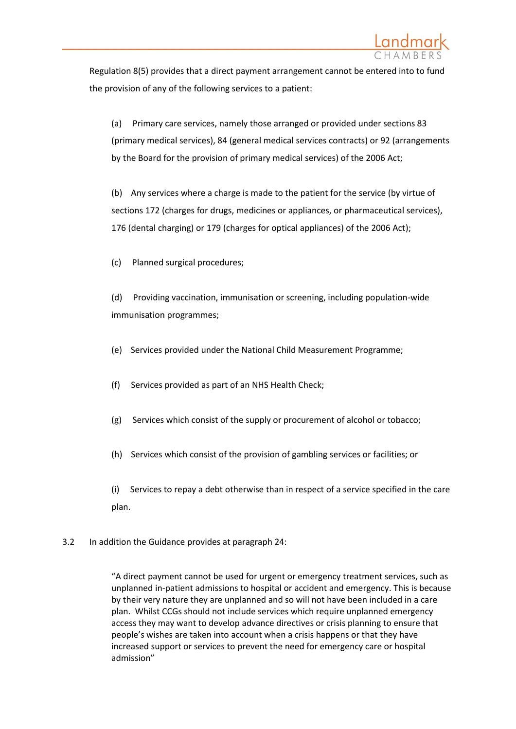

Regulation 8(5) provides that a direct payment arrangement cannot be entered into to fund the provision of any of the following services to a patient:

(a) Primary care services, namely those arranged or provided under sections 83 (primary medical services), 84 (general medical services contracts) or 92 (arrangements by the Board for the provision of primary medical services) of the 2006 Act;

(b) Any services where a charge is made to the patient for the service (by virtue of sections 172 (charges for drugs, medicines or appliances, or pharmaceutical services), 176 (dental charging) or 179 (charges for optical appliances) of the 2006 Act);

(c) Planned surgical procedures;

(d) Providing vaccination, immunisation or screening, including population-wide immunisation programmes;

- (e) Services provided under the National Child Measurement Programme;
- (f) Services provided as part of an NHS Health Check;
- (g) Services which consist of the supply or procurement of alcohol or tobacco;
- (h) Services which consist of the provision of gambling services or facilities; or

(i) Services to repay a debt otherwise than in respect of a service specified in the care plan.

3.2 In addition the Guidance provides at paragraph 24:

"A direct payment cannot be used for urgent or emergency treatment services, such as unplanned in-patient admissions to hospital or accident and emergency. This is because by their very nature they are unplanned and so will not have been included in a care plan. Whilst CCGs should not include services which require unplanned emergency access they may want to develop advance directives or crisis planning to ensure that people's wishes are taken into account when a crisis happens or that they have increased support or services to prevent the need for emergency care or hospital admission"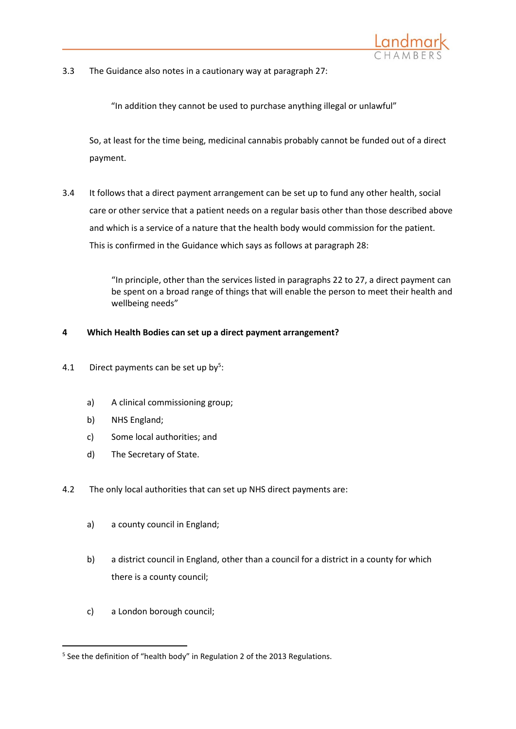

3.3 The Guidance also notes in a cautionary way at paragraph 27:

"In addition they cannot be used to purchase anything illegal or unlawful"

So, at least for the time being, medicinal cannabis probably cannot be funded out of a direct payment.

3.4 It follows that a direct payment arrangement can be set up to fund any other health, social care or other service that a patient needs on a regular basis other than those described above and which is a service of a nature that the health body would commission for the patient. This is confirmed in the Guidance which says as follows at paragraph 28:

> "In principle, other than the services listed in paragraphs 22 to 27, a direct payment can be spent on a broad range of things that will enable the person to meet their health and wellbeing needs"

## **4 Which Health Bodies can set up a direct payment arrangement?**

- 4.1 Direct payments can be set up by<sup>5</sup>:
	- a) A clinical commissioning group;
	- b) NHS England;
	- c) Some local authorities; and
	- d) The Secretary of State.
- 4.2 The only local authorities that can set up NHS direct payments are:
	- a) a county council in England;
	- b) a district council in England, other than a council for a district in a county for which there is a county council;
	- c) a London borough council;

<sup>&</sup>lt;sup>5</sup> See the definition of "health body" in Regulation 2 of the 2013 Regulations.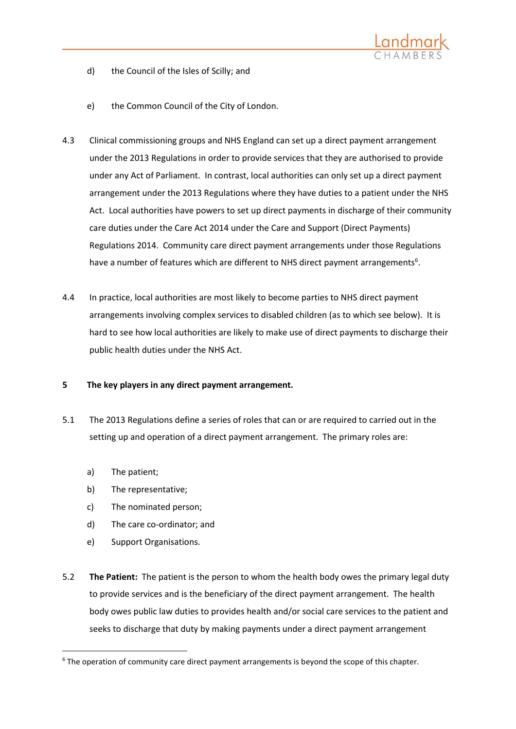

- d) the Council of the Isles of Scilly; and
- e) the Common Council of the City of London.
- 4.3 Clinical commissioning groups and NHS England can set up a direct payment arrangement under the 2013 Regulations in order to provide services that they are authorised to provide under any Act of Parliament. In contrast, local authorities can only set up a direct payment arrangement under the 2013 Regulations where they have duties to a patient under the NHS Act. Local authorities have powers to set up direct payments in discharge of their community care duties under the Care Act 2014 under the Care and Support (Direct Payments) Regulations 2014. Community care direct payment arrangements under those Regulations have a number of features which are different to NHS direct payment arrangements<sup>6</sup>.
- 4.4 In practice, local authorities are most likely to become parties to NHS direct payment arrangements involving complex services to disabled children (as to which see below). It is hard to see how local authorities are likely to make use of direct payments to discharge their public health duties under the NHS Act.

### **5 The key players in any direct payment arrangement.**

- 5.1 The 2013 Regulations define a series of roles that can or are required to carried out in the setting up and operation of a direct payment arrangement. The primary roles are:
	- a) The patient;

1

- b) The representative;
- c) The nominated person;
- d) The care co-ordinator; and
- e) Support Organisations.
- 5.2 **The Patient:** The patient is the person to whom the health body owes the primary legal duty to provide services and is the beneficiary of the direct payment arrangement. The health body owes public law duties to provides health and/or social care services to the patient and seeks to discharge that duty by making payments under a direct payment arrangement

<sup>&</sup>lt;sup>6</sup> The operation of community care direct payment arrangements is beyond the scope of this chapter.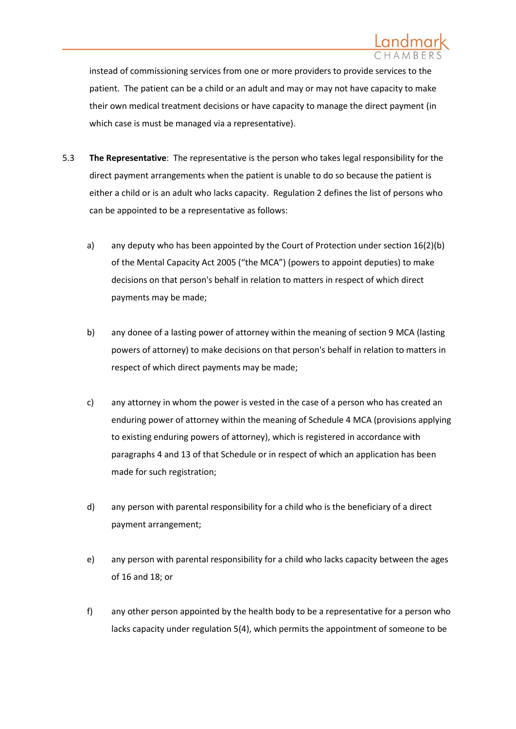

instead of commissioning services from one or more providers to provide services to the patient. The patient can be a child or an adult and may or may not have capacity to make their own medical treatment decisions or have capacity to manage the direct payment (in which case is must be managed via a representative).

- <span id="page-10-0"></span>5.3 **The Representative**: The representative is the person who takes legal responsibility for the direct payment arrangements when the patient is unable to do so because the patient is either a child or is an adult who lacks capacity. Regulation 2 defines the list of persons who can be appointed to be a representative as follows:
	- a) any deputy who has been appointed by the Court of Protection under section 16(2)(b) of the Mental Capacity Act 2005 ("the MCA") (powers to appoint deputies) to make decisions on that person's behalf in relation to matters in respect of which direct payments may be made;
	- b) any donee of a lasting power of attorney within the meaning of section 9 MCA (lasting powers of attorney) to make decisions on that person's behalf in relation to matters in respect of which direct payments may be made;
	- c) any attorney in whom the power is vested in the case of a person who has created an enduring power of attorney within the meaning of Schedule 4 MCA (provisions applying to existing enduring powers of attorney), which is registered in accordance with paragraphs 4 and 13 of that Schedule or in respect of which an application has been made for such registration;
	- d) any person with parental responsibility for a child who is the beneficiary of a direct payment arrangement;
	- e) any person with parental responsibility for a child who lacks capacity between the ages of 16 and 18; or
	- f) any other person appointed by the health body to be a representative for a person who lacks capacity under regulation 5(4), which permits the appointment of someone to be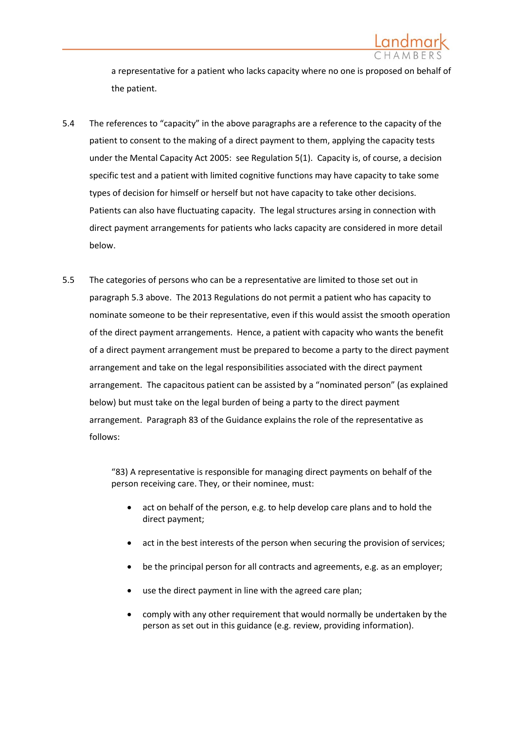

a representative for a patient who lacks capacity where no one is proposed on behalf of the patient.

- 5.4 The references to "capacity" in the above paragraphs are a reference to the capacity of the patient to consent to the making of a direct payment to them, applying the capacity tests under the Mental Capacity Act 2005: see Regulation 5(1). Capacity is, of course, a decision specific test and a patient with limited cognitive functions may have capacity to take some types of decision for himself or herself but not have capacity to take other decisions. Patients can also have fluctuating capacity. The legal structures arsing in connection with direct payment arrangements for patients who lacks capacity are considered in more detail below.
- 5.5 The categories of persons who can be a representative are limited to those set out in paragrap[h 5.3](#page-10-0) above. The 2013 Regulations do not permit a patient who has capacity to nominate someone to be their representative, even if this would assist the smooth operation of the direct payment arrangements. Hence, a patient with capacity who wants the benefit of a direct payment arrangement must be prepared to become a party to the direct payment arrangement and take on the legal responsibilities associated with the direct payment arrangement. The capacitous patient can be assisted by a "nominated person" (as explained below) but must take on the legal burden of being a party to the direct payment arrangement. Paragraph 83 of the Guidance explains the role of the representative as follows:

"83) A representative is responsible for managing direct payments on behalf of the person receiving care. They, or their nominee, must:

- act on behalf of the person, e.g. to help develop care plans and to hold the direct payment;
- act in the best interests of the person when securing the provision of services;
- be the principal person for all contracts and agreements, e.g. as an employer;
- use the direct payment in line with the agreed care plan;
- comply with any other requirement that would normally be undertaken by the person as set out in this guidance (e.g. review, providing information).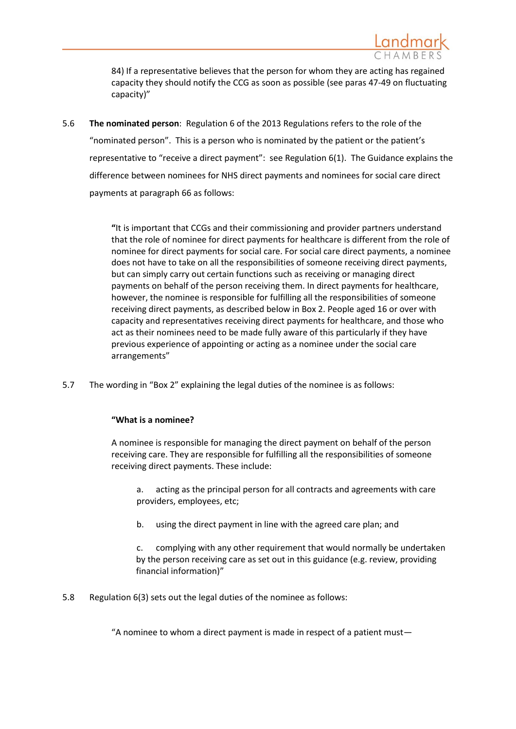

84) If a representative believes that the person for whom they are acting has regained capacity they should notify the CCG as soon as possible (see paras 47-49 on fluctuating capacity)"

5.6 **The nominated person**: Regulation 6 of the 2013 Regulations refers to the role of the "nominated person". This is a person who is nominated by the patient or the patient's representative to "receive a direct payment": see Regulation 6(1). The Guidance explains the difference between nominees for NHS direct payments and nominees for social care direct payments at paragraph 66 as follows:

> **"**It is important that CCGs and their commissioning and provider partners understand that the role of nominee for direct payments for healthcare is different from the role of nominee for direct payments for social care. For social care direct payments, a nominee does not have to take on all the responsibilities of someone receiving direct payments, but can simply carry out certain functions such as receiving or managing direct payments on behalf of the person receiving them. In direct payments for healthcare, however, the nominee is responsible for fulfilling all the responsibilities of someone receiving direct payments, as described below in Box 2. People aged 16 or over with capacity and representatives receiving direct payments for healthcare, and those who act as their nominees need to be made fully aware of this particularly if they have previous experience of appointing or acting as a nominee under the social care arrangements"

5.7 The wording in "Box 2" explaining the legal duties of the nominee is as follows:

## **"What is a nominee?**

A nominee is responsible for managing the direct payment on behalf of the person receiving care. They are responsible for fulfilling all the responsibilities of someone receiving direct payments. These include:

a. acting as the principal person for all contracts and agreements with care providers, employees, etc;

b. using the direct payment in line with the agreed care plan; and

c. complying with any other requirement that would normally be undertaken by the person receiving care as set out in this guidance (e.g. review, providing financial information)"

5.8 Regulation 6(3) sets out the legal duties of the nominee as follows:

"A nominee to whom a direct payment is made in respect of a patient must—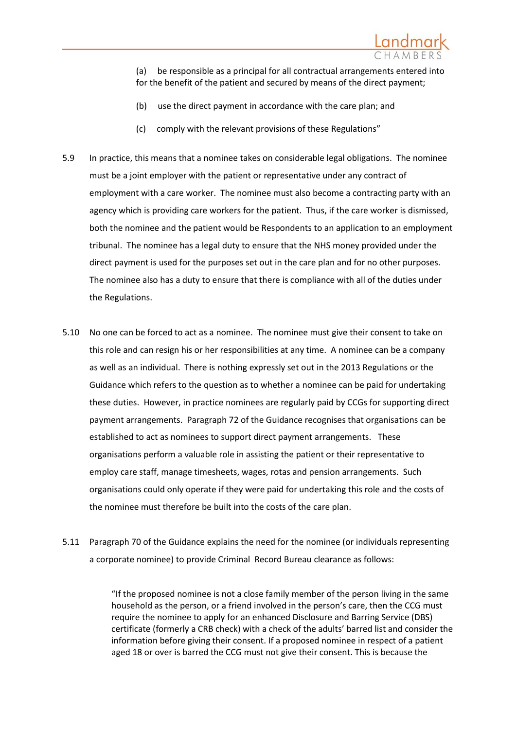

(a) be responsible as a principal for all contractual arrangements entered into for the benefit of the patient and secured by means of the direct payment;

- (b) use the direct payment in accordance with the care plan; and
- (c) comply with the relevant provisions of these Regulations"
- 5.9 In practice, this means that a nominee takes on considerable legal obligations. The nominee must be a joint employer with the patient or representative under any contract of employment with a care worker. The nominee must also become a contracting party with an agency which is providing care workers for the patient. Thus, if the care worker is dismissed, both the nominee and the patient would be Respondents to an application to an employment tribunal. The nominee has a legal duty to ensure that the NHS money provided under the direct payment is used for the purposes set out in the care plan and for no other purposes. The nominee also has a duty to ensure that there is compliance with all of the duties under the Regulations.
- 5.10 No one can be forced to act as a nominee. The nominee must give their consent to take on this role and can resign his or her responsibilities at any time. A nominee can be a company as well as an individual. There is nothing expressly set out in the 2013 Regulations or the Guidance which refers to the question as to whether a nominee can be paid for undertaking these duties. However, in practice nominees are regularly paid by CCGs for supporting direct payment arrangements. Paragraph 72 of the Guidance recognises that organisations can be established to act as nominees to support direct payment arrangements. These organisations perform a valuable role in assisting the patient or their representative to employ care staff, manage timesheets, wages, rotas and pension arrangements. Such organisations could only operate if they were paid for undertaking this role and the costs of the nominee must therefore be built into the costs of the care plan.
- 5.11 Paragraph 70 of the Guidance explains the need for the nominee (or individuals representing a corporate nominee) to provide Criminal Record Bureau clearance as follows:

"If the proposed nominee is not a close family member of the person living in the same household as the person, or a friend involved in the person's care, then the CCG must require the nominee to apply for an enhanced Disclosure and Barring Service (DBS) certificate (formerly a CRB check) with a check of the adults' barred list and consider the information before giving their consent. If a proposed nominee in respect of a patient aged 18 or over is barred the CCG must not give their consent. This is because the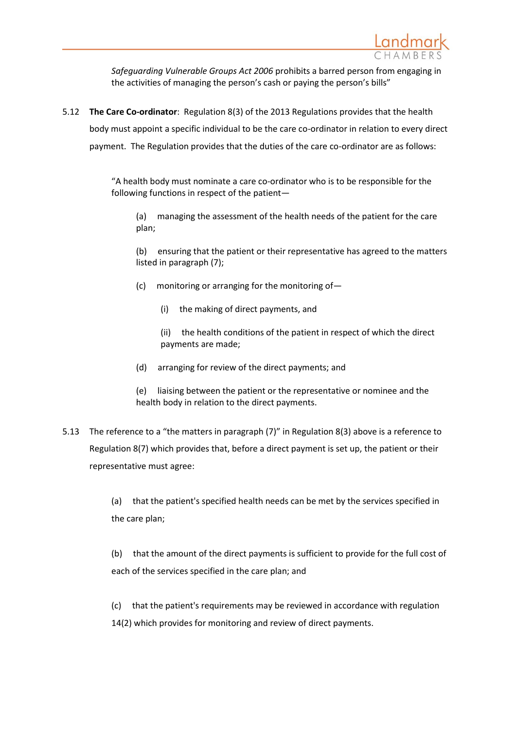

*Safeguarding Vulnerable Groups Act 2006* prohibits a barred person from engaging in the activities of managing the person's cash or paying the person's bills"

<span id="page-14-0"></span>5.12 **The Care Co-ordinator**: Regulation 8(3) of the 2013 Regulations provides that the health body must appoint a specific individual to be the care co-ordinator in relation to every direct payment. The Regulation provides that the duties of the care co-ordinator are as follows:

> "A health body must nominate a care co-ordinator who is to be responsible for the following functions in respect of the patient—

(a) managing the assessment of the health needs of the patient for the care plan;

(b) ensuring that the patient or their representative has agreed to the matters listed in paragraph (7);

- (c) monitoring or arranging for the monitoring of—
	- (i) the making of direct payments, and
	- (ii) the health conditions of the patient in respect of which the direct payments are made;
- (d) arranging for review of the direct payments; and
- (e) liaising between the patient or the representative or nominee and the health body in relation to the direct payments.
- 5.13 The reference to a "the matters in paragraph (7)" in Regulation 8(3) above is a reference to Regulation 8(7) which provides that, before a direct payment is set up, the patient or their representative must agree:

(a) that the patient's specified health needs can be met by the services specified in the care plan;

(b) that the amount of the direct payments is sufficient to provide for the full cost of each of the services specified in the care plan; and

(c) that the patient's requirements may be reviewed in accordance with regulation 14(2) which provides for monitoring and review of direct payments.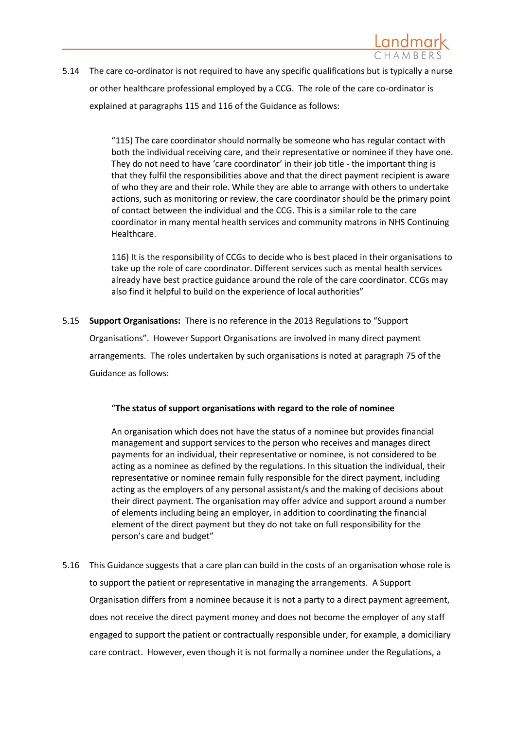

5.14 The care co-ordinator is not required to have any specific qualifications but is typically a nurse or other healthcare professional employed by a CCG. The role of the care co-ordinator is explained at paragraphs 115 and 116 of the Guidance as follows:

> "115) The care coordinator should normally be someone who has regular contact with both the individual receiving care, and their representative or nominee if they have one. They do not need to have 'care coordinator' in their job title - the important thing is that they fulfil the responsibilities above and that the direct payment recipient is aware of who they are and their role. While they are able to arrange with others to undertake actions, such as monitoring or review, the care coordinator should be the primary point of contact between the individual and the CCG. This is a similar role to the care coordinator in many mental health services and community matrons in NHS Continuing Healthcare.

> 116) It is the responsibility of CCGs to decide who is best placed in their organisations to take up the role of care coordinator. Different services such as mental health services already have best practice guidance around the role of the care coordinator. CCGs may also find it helpful to build on the experience of local authorities"

5.15 **Support Organisations:** There is no reference in the 2013 Regulations to "Support

Organisations". However Support Organisations are involved in many direct payment arrangements. The roles undertaken by such organisations is noted at paragraph 75 of the Guidance as follows:

## "**The status of support organisations with regard to the role of nominee**

An organisation which does not have the status of a nominee but provides financial management and support services to the person who receives and manages direct payments for an individual, their representative or nominee, is not considered to be acting as a nominee as defined by the regulations. In this situation the individual, their representative or nominee remain fully responsible for the direct payment, including acting as the employers of any personal assistant/s and the making of decisions about their direct payment. The organisation may offer advice and support around a number of elements including being an employer, in addition to coordinating the financial element of the direct payment but they do not take on full responsibility for the person's care and budget"

5.16 This Guidance suggests that a care plan can build in the costs of an organisation whose role is to support the patient or representative in managing the arrangements. A Support Organisation differs from a nominee because it is not a party to a direct payment agreement, does not receive the direct payment money and does not become the employer of any staff engaged to support the patient or contractually responsible under, for example, a domiciliary care contract. However, even though it is not formally a nominee under the Regulations, a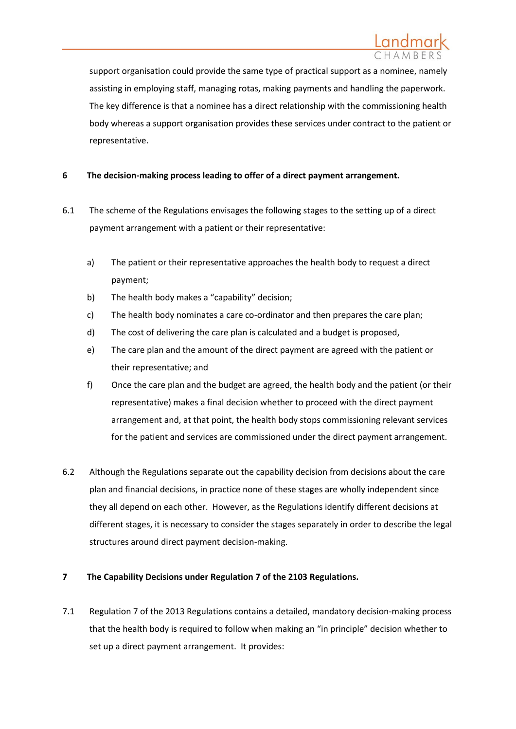support organisation could provide the same type of practical support as a nominee, namely assisting in employing staff, managing rotas, making payments and handling the paperwork. The key difference is that a nominee has a direct relationship with the commissioning health body whereas a support organisation provides these services under contract to the patient or representative.

# **6 The decision-making process leading to offer of a direct payment arrangement.**

- 6.1 The scheme of the Regulations envisages the following stages to the setting up of a direct payment arrangement with a patient or their representative:
	- a) The patient or their representative approaches the health body to request a direct payment;
	- b) The health body makes a "capability" decision;
	- c) The health body nominates a care co-ordinator and then prepares the care plan;
	- d) The cost of delivering the care plan is calculated and a budget is proposed,
	- e) The care plan and the amount of the direct payment are agreed with the patient or their representative; and
	- f) Once the care plan and the budget are agreed, the health body and the patient (or their representative) makes a final decision whether to proceed with the direct payment arrangement and, at that point, the health body stops commissioning relevant services for the patient and services are commissioned under the direct payment arrangement.
- 6.2 Although the Regulations separate out the capability decision from decisions about the care plan and financial decisions, in practice none of these stages are wholly independent since they all depend on each other. However, as the Regulations identify different decisions at different stages, it is necessary to consider the stages separately in order to describe the legal structures around direct payment decision-making.

## **7 The Capability Decisions under Regulation 7 of the 2103 Regulations.**

<span id="page-16-0"></span>7.1 Regulation 7 of the 2013 Regulations contains a detailed, mandatory decision-making process that the health body is required to follow when making an "in principle" decision whether to set up a direct payment arrangement. It provides: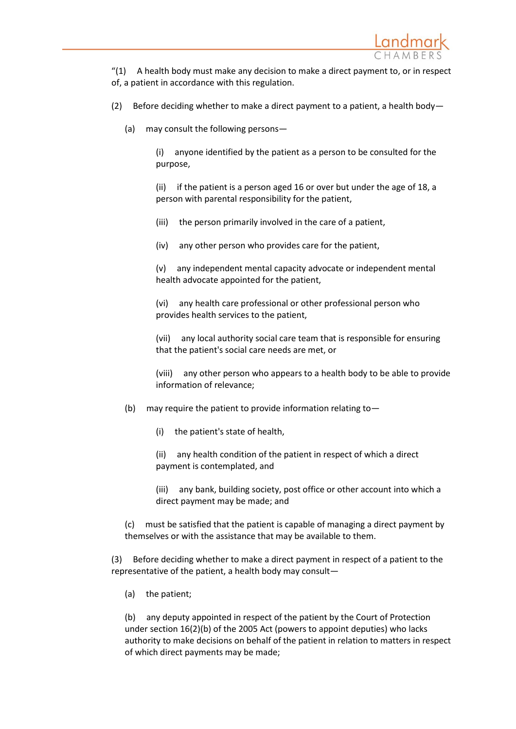

 $''(1)$  A health body must make any decision to make a direct payment to, or in respect of, a patient in accordance with this regulation.

- (2) Before deciding whether to make a direct payment to a patient, a health body-
	- (a) may consult the following persons—

(i) anyone identified by the patient as a person to be consulted for the purpose,

(ii) if the patient is a person aged 16 or over but under the age of 18, a person with parental responsibility for the patient,

(iii) the person primarily involved in the care of a patient,

(iv) any other person who provides care for the patient,

(v) any independent mental capacity advocate or independent mental health advocate appointed for the patient,

(vi) any health care professional or other professional person who provides health services to the patient,

(vii) any local authority social care team that is responsible for ensuring that the patient's social care needs are met, or

(viii) any other person who appears to a health body to be able to provide information of relevance;

- (b) may require the patient to provide information relating to  $-$ 
	- (i) the patient's state of health,

(ii) any health condition of the patient in respect of which a direct payment is contemplated, and

(iii) any bank, building society, post office or other account into which a direct payment may be made; and

(c) must be satisfied that the patient is capable of managing a direct payment by themselves or with the assistance that may be available to them.

(3) Before deciding whether to make a direct payment in respect of a patient to the representative of the patient, a health body may consult—

(a) the patient;

(b) any deputy appointed in respect of the patient by the Court of Protection under section 16(2)(b) of the 2005 Act (powers to appoint deputies) who lacks authority to make decisions on behalf of the patient in relation to matters in respect of which direct payments may be made;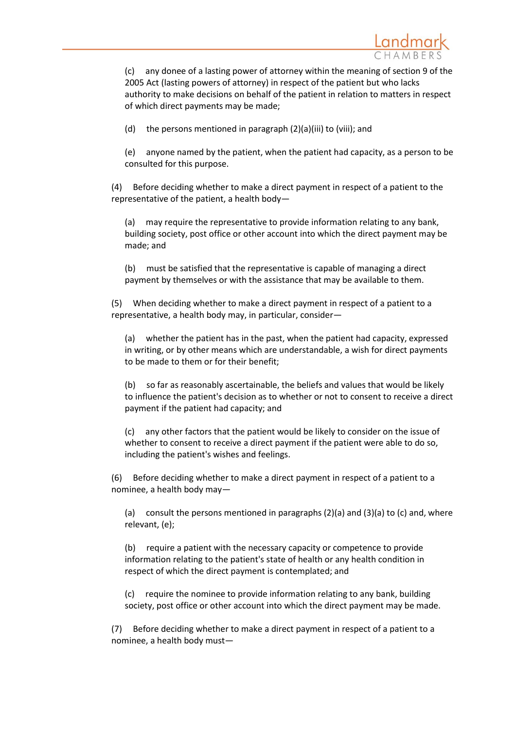

(c) any donee of a lasting power of attorney within the meaning of section 9 of the 2005 Act (lasting powers of attorney) in respect of the patient but who lacks authority to make decisions on behalf of the patient in relation to matters in respect of which direct payments may be made;

(d) the persons mentioned in paragraph (2)(a)(iii) to (viii); and

(e) anyone named by the patient, when the patient had capacity, as a person to be consulted for this purpose.

(4) Before deciding whether to make a direct payment in respect of a patient to the representative of the patient, a health body—

(a) may require the representative to provide information relating to any bank, building society, post office or other account into which the direct payment may be made; and

(b) must be satisfied that the representative is capable of managing a direct payment by themselves or with the assistance that may be available to them.

(5) When deciding whether to make a direct payment in respect of a patient to a representative, a health body may, in particular, consider—

(a) whether the patient has in the past, when the patient had capacity, expressed in writing, or by other means which are understandable, a wish for direct payments to be made to them or for their benefit;

(b) so far as reasonably ascertainable, the beliefs and values that would be likely to influence the patient's decision as to whether or not to consent to receive a direct payment if the patient had capacity; and

(c) any other factors that the patient would be likely to consider on the issue of whether to consent to receive a direct payment if the patient were able to do so, including the patient's wishes and feelings.

(6) Before deciding whether to make a direct payment in respect of a patient to a nominee, a health body may—

(a) consult the persons mentioned in paragraphs  $(2)(a)$  and  $(3)(a)$  to  $(c)$  and, where relevant, (e);

(b) require a patient with the necessary capacity or competence to provide information relating to the patient's state of health or any health condition in respect of which the direct payment is contemplated; and

(c) require the nominee to provide information relating to any bank, building society, post office or other account into which the direct payment may be made.

(7) Before deciding whether to make a direct payment in respect of a patient to a nominee, a health body must—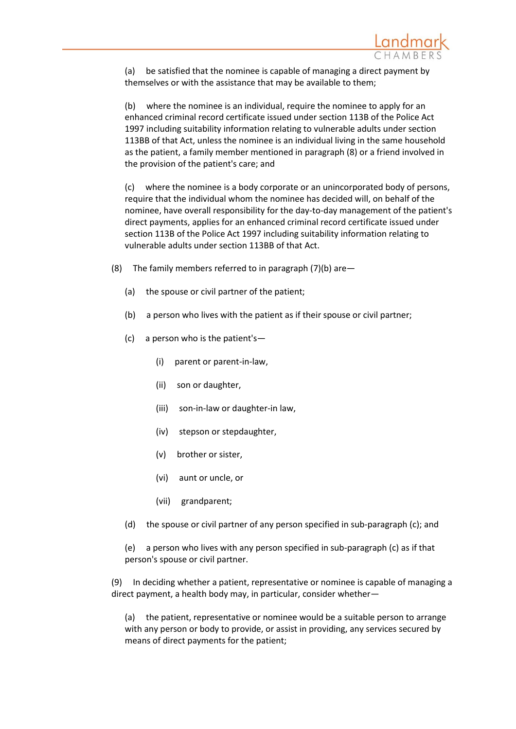

(a) be satisfied that the nominee is capable of managing a direct payment by themselves or with the assistance that may be available to them;

(b) where the nominee is an individual, require the nominee to apply for an enhanced criminal record certificate issued under [section 113B](https://www.lexisnexis.com/uk/legal/search/enhRunRemoteLink.do?A=0.9799673802197167&service=citation&langcountry=GB&backKey=20_T24988901089&linkInfo=F%23GB%23UK_ACTS%23num%251997_50a%25sect%25113B%25section%25113B%25&ersKey=23_T24988901088) of the Police Act 1997 including suitability information relating to vulnerable adults under section 113BB of that Act, unless the nominee is an individual living in the same household as the patient, a family member mentioned in paragraph (8) or a friend involved in the provision of the patient's care; and

(c) where the nominee is a body corporate or an unincorporated body of persons, require that the individual whom the nominee has decided will, on behalf of the nominee, have overall responsibility for the day-to-day management of the patient's direct payments, applies for an enhanced criminal record certificate issued under [section 113B](https://www.lexisnexis.com/uk/legal/search/enhRunRemoteLink.do?A=0.09006990944435667&service=citation&langcountry=GB&backKey=20_T24988901089&linkInfo=F%23GB%23UK_ACTS%23num%251997_50a%25sect%25113B%25section%25113B%25&ersKey=23_T24988901088) of the Police Act 1997 including suitability information relating to vulnerable adults under section 113BB of that Act.

- (8) The family members referred to in paragraph  $(7)(b)$  are -
	- (a) the spouse or civil partner of the patient;
	- (b) a person who lives with the patient as if their spouse or civil partner;
	- (c) a person who is the patient's—
		- (i) parent or parent-in-law,
		- (ii) son or daughter,
		- (iii) son-in-law or daughter-in law,
		- (iv) stepson or stepdaughter,
		- (v) brother or sister,
		- (vi) aunt or uncle, or
		- (vii) grandparent;
	- (d) the spouse or civil partner of any person specified in sub-paragraph (c); and

(e) a person who lives with any person specified in sub-paragraph (c) as if that person's spouse or civil partner.

(9) In deciding whether a patient, representative or nominee is capable of managing a direct payment, a health body may, in particular, consider whether—

(a) the patient, representative or nominee would be a suitable person to arrange with any person or body to provide, or assist in providing, any services secured by means of direct payments for the patient;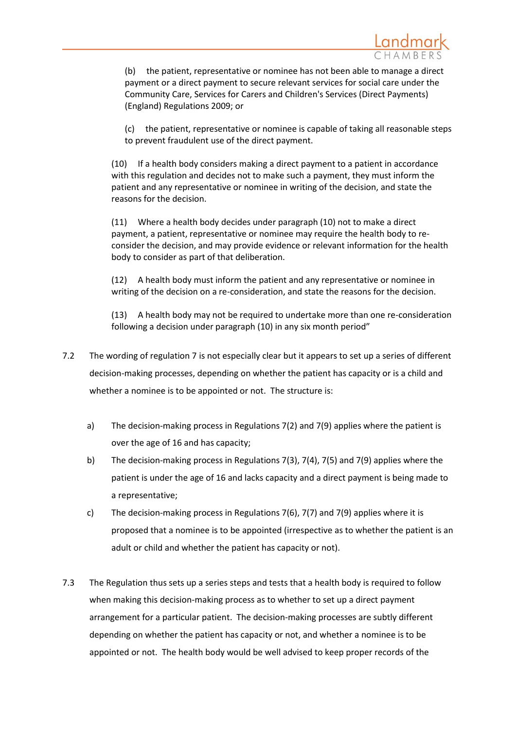(b) the patient, representative or nominee has not been able to manage a direct payment or a direct payment to secure relevant services for social care under the Community Care, Services for Carers and Children's Services (Direct Payments) (England) Regulations 2009; or

(c) the patient, representative or nominee is capable of taking all reasonable steps to prevent fraudulent use of the direct payment.

(10) If a health body considers making a direct payment to a patient in accordance with this regulation and decides not to make such a payment, they must inform the patient and any representative or nominee in writing of the decision, and state the reasons for the decision.

(11) Where a health body decides under paragraph (10) not to make a direct payment, a patient, representative or nominee may require the health body to reconsider the decision, and may provide evidence or relevant information for the health body to consider as part of that deliberation.

(12) A health body must inform the patient and any representative or nominee in writing of the decision on a re-consideration, and state the reasons for the decision.

(13) A health body may not be required to undertake more than one re-consideration following a decision under paragraph (10) in any six month period"

- 7.2 The wording of regulation 7 is not especially clear but it appears to set up a series of different decision-making processes, depending on whether the patient has capacity or is a child and whether a nominee is to be appointed or not. The structure is:
	- a) The decision-making process in Regulations 7(2) and 7(9) applies where the patient is over the age of 16 and has capacity;
	- b) The decision-making process in Regulations 7(3), 7(4), 7(5) and 7(9) applies where the patient is under the age of 16 and lacks capacity and a direct payment is being made to a representative;
	- c) The decision-making process in Regulations 7(6), 7(7) and 7(9) applies where it is proposed that a nominee is to be appointed (irrespective as to whether the patient is an adult or child and whether the patient has capacity or not).
- 7.3 The Regulation thus sets up a series steps and tests that a health body is required to follow when making this decision-making process as to whether to set up a direct payment arrangement for a particular patient. The decision-making processes are subtly different depending on whether the patient has capacity or not, and whether a nominee is to be appointed or not. The health body would be well advised to keep proper records of the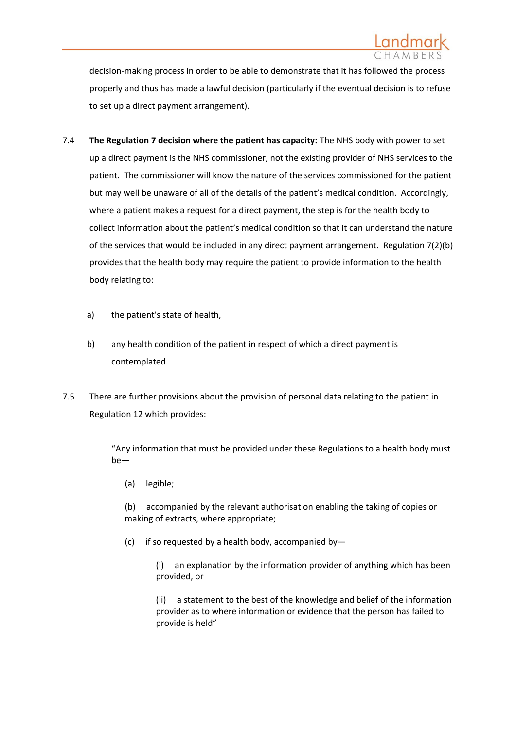

decision-making process in order to be able to demonstrate that it has followed the process properly and thus has made a lawful decision (particularly if the eventual decision is to refuse to set up a direct payment arrangement).

- 7.4 **The Regulation 7 decision where the patient has capacity:** The NHS body with power to set up a direct payment is the NHS commissioner, not the existing provider of NHS services to the patient. The commissioner will know the nature of the services commissioned for the patient but may well be unaware of all of the details of the patient's medical condition. Accordingly, where a patient makes a request for a direct payment, the step is for the health body to collect information about the patient's medical condition so that it can understand the nature of the services that would be included in any direct payment arrangement. Regulation 7(2)(b) provides that the health body may require the patient to provide information to the health body relating to:
	- a) the patient's state of health,
	- b) any health condition of the patient in respect of which a direct payment is contemplated.
- 7.5 There are further provisions about the provision of personal data relating to the patient in Regulation 12 which provides:

"Any information that must be provided under these Regulations to a health body must be—

(a) legible;

(b) accompanied by the relevant authorisation enabling the taking of copies or making of extracts, where appropriate;

(c) if so requested by a health body, accompanied by  $-$ 

(i) an explanation by the information provider of anything which has been provided, or

(ii) a statement to the best of the knowledge and belief of the information provider as to where information or evidence that the person has failed to provide is held"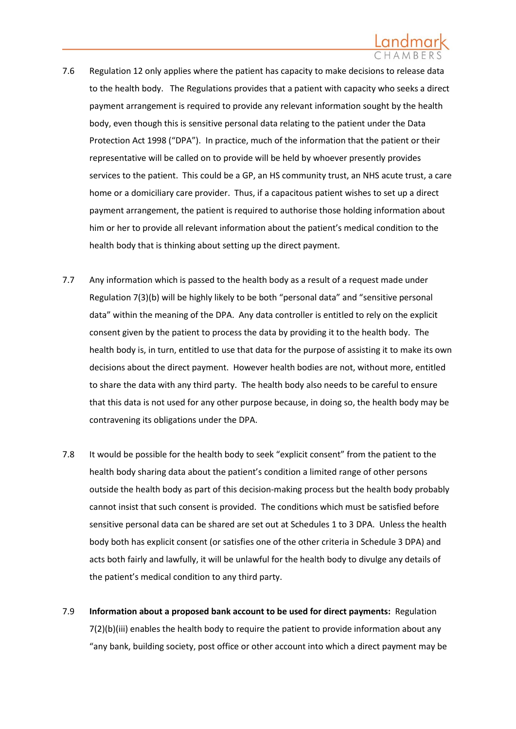- 7.6 Regulation 12 only applies where the patient has capacity to make decisions to release data to the health body. The Regulations provides that a patient with capacity who seeks a direct payment arrangement is required to provide any relevant information sought by the health body, even though this is sensitive personal data relating to the patient under the Data Protection Act 1998 ("DPA"). In practice, much of the information that the patient or their representative will be called on to provide will be held by whoever presently provides services to the patient. This could be a GP, an HS community trust, an NHS acute trust, a care home or a domiciliary care provider. Thus, if a capacitous patient wishes to set up a direct payment arrangement, the patient is required to authorise those holding information about him or her to provide all relevant information about the patient's medical condition to the health body that is thinking about setting up the direct payment.
- 7.7 Any information which is passed to the health body as a result of a request made under Regulation 7(3)(b) will be highly likely to be both "personal data" and "sensitive personal data" within the meaning of the DPA. Any data controller is entitled to rely on the explicit consent given by the patient to process the data by providing it to the health body. The health body is, in turn, entitled to use that data for the purpose of assisting it to make its own decisions about the direct payment. However health bodies are not, without more, entitled to share the data with any third party. The health body also needs to be careful to ensure that this data is not used for any other purpose because, in doing so, the health body may be contravening its obligations under the DPA.
- 7.8 It would be possible for the health body to seek "explicit consent" from the patient to the health body sharing data about the patient's condition a limited range of other persons outside the health body as part of this decision-making process but the health body probably cannot insist that such consent is provided. The conditions which must be satisfied before sensitive personal data can be shared are set out at Schedules 1 to 3 DPA. Unless the health body both has explicit consent (or satisfies one of the other criteria in Schedule 3 DPA) and acts both fairly and lawfully, it will be unlawful for the health body to divulge any details of the patient's medical condition to any third party.
- <span id="page-22-0"></span>7.9 **Information about a proposed bank account to be used for direct payments:** Regulation 7(2)(b)(iii) enables the health body to require the patient to provide information about any "any bank, building society, post office or other account into which a direct payment may be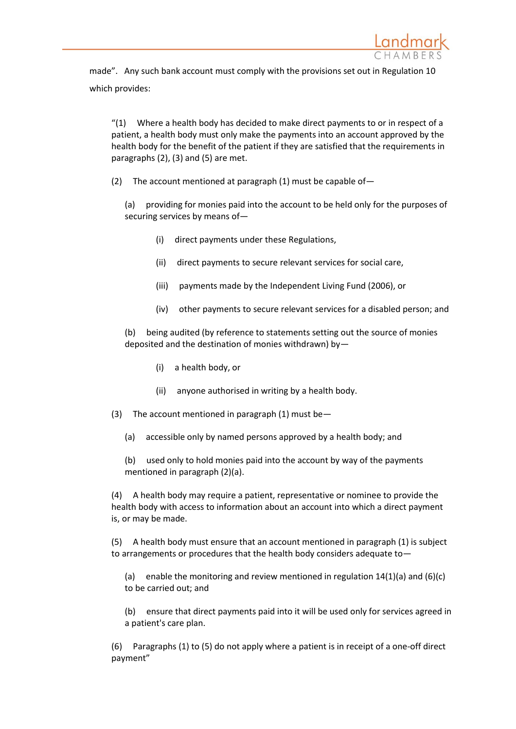

made". Any such bank account must comply with the provisions set out in Regulation 10 which provides:

 $''(1)$  Where a health body has decided to make direct payments to or in respect of a patient, a health body must only make the payments into an account approved by the health body for the benefit of the patient if they are satisfied that the requirements in paragraphs (2), (3) and (5) are met.

(2) The account mentioned at paragraph  $(1)$  must be capable of-

(a) providing for monies paid into the account to be held only for the purposes of securing services by means of—

- (i) direct payments under these Regulations,
- (ii) direct payments to secure relevant services for social care,
- (iii) payments made by the Independent Living Fund (2006), or
- (iv) other payments to secure relevant services for a disabled person; and

(b) being audited (by reference to statements setting out the source of monies deposited and the destination of monies withdrawn) by—

- (i) a health body, or
- (ii) anyone authorised in writing by a health body.
- (3) The account mentioned in paragraph  $(1)$  must be
	- (a) accessible only by named persons approved by a health body; and

(b) used only to hold monies paid into the account by way of the payments mentioned in paragraph (2)(a).

(4) A health body may require a patient, representative or nominee to provide the health body with access to information about an account into which a direct payment is, or may be made.

(5) A health body must ensure that an account mentioned in paragraph (1) is subject to arrangements or procedures that the health body considers adequate to—

(a) enable the monitoring and review mentioned in regulation  $14(1)(a)$  and  $(6)(c)$ to be carried out; and

(b) ensure that direct payments paid into it will be used only for services agreed in a patient's care plan.

(6) Paragraphs (1) to (5) do not apply where a patient is in receipt of a one-off direct payment"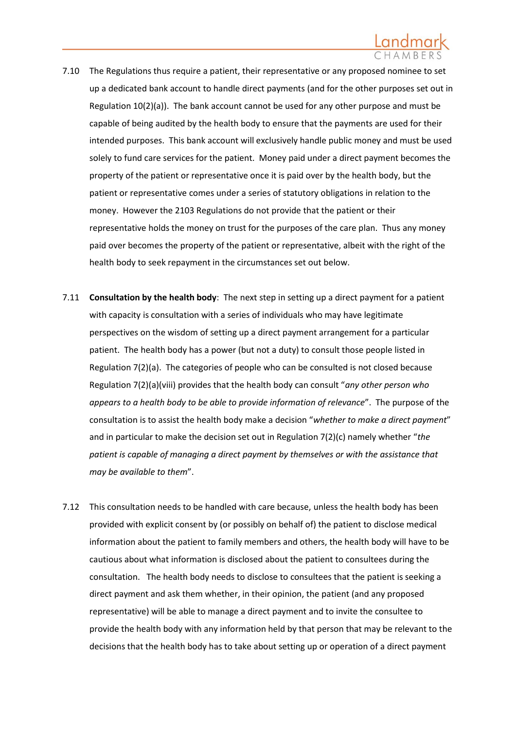- 7.10 The Regulations thus require a patient, their representative or any proposed nominee to set up a dedicated bank account to handle direct payments (and for the other purposes set out in Regulation  $10(2)(a)$ ). The bank account cannot be used for any other purpose and must be capable of being audited by the health body to ensure that the payments are used for their intended purposes. This bank account will exclusively handle public money and must be used solely to fund care services for the patient. Money paid under a direct payment becomes the property of the patient or representative once it is paid over by the health body, but the patient or representative comes under a series of statutory obligations in relation to the money. However the 2103 Regulations do not provide that the patient or their representative holds the money on trust for the purposes of the care plan. Thus any money paid over becomes the property of the patient or representative, albeit with the right of the health body to seek repayment in the circumstances set out below.
- 7.11 **Consultation by the health body**: The next step in setting up a direct payment for a patient with capacity is consultation with a series of individuals who may have legitimate perspectives on the wisdom of setting up a direct payment arrangement for a particular patient. The health body has a power (but not a duty) to consult those people listed in Regulation 7(2)(a). The categories of people who can be consulted is not closed because Regulation 7(2)(a)(viii) provides that the health body can consult "*any other person who appears to a health body to be able to provide information of relevance*". The purpose of the consultation is to assist the health body make a decision "*whether to make a direct payment*" and in particular to make the decision set out in Regulation 7(2)(c) namely whether "*the patient is capable of managing a direct payment by themselves or with the assistance that may be available to them*".
- 7.12 This consultation needs to be handled with care because, unless the health body has been provided with explicit consent by (or possibly on behalf of) the patient to disclose medical information about the patient to family members and others, the health body will have to be cautious about what information is disclosed about the patient to consultees during the consultation. The health body needs to disclose to consultees that the patient is seeking a direct payment and ask them whether, in their opinion, the patient (and any proposed representative) will be able to manage a direct payment and to invite the consultee to provide the health body with any information held by that person that may be relevant to the decisions that the health body has to take about setting up or operation of a direct payment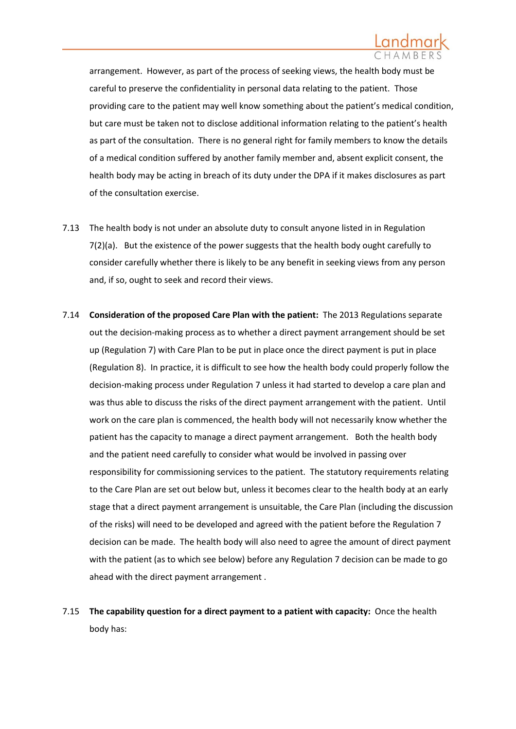

arrangement. However, as part of the process of seeking views, the health body must be careful to preserve the confidentiality in personal data relating to the patient. Those providing care to the patient may well know something about the patient's medical condition, but care must be taken not to disclose additional information relating to the patient's health as part of the consultation. There is no general right for family members to know the details of a medical condition suffered by another family member and, absent explicit consent, the health body may be acting in breach of its duty under the DPA if it makes disclosures as part of the consultation exercise.

- 7.13 The health body is not under an absolute duty to consult anyone listed in in Regulation 7(2)(a). But the existence of the power suggests that the health body ought carefully to consider carefully whether there is likely to be any benefit in seeking views from any person and, if so, ought to seek and record their views.
- 7.14 **Consideration of the proposed Care Plan with the patient:** The 2013 Regulations separate out the decision-making process as to whether a direct payment arrangement should be set up (Regulation 7) with Care Plan to be put in place once the direct payment is put in place (Regulation 8). In practice, it is difficult to see how the health body could properly follow the decision-making process under Regulation 7 unless it had started to develop a care plan and was thus able to discuss the risks of the direct payment arrangement with the patient. Until work on the care plan is commenced, the health body will not necessarily know whether the patient has the capacity to manage a direct payment arrangement. Both the health body and the patient need carefully to consider what would be involved in passing over responsibility for commissioning services to the patient. The statutory requirements relating to the Care Plan are set out below but, unless it becomes clear to the health body at an early stage that a direct payment arrangement is unsuitable, the Care Plan (including the discussion of the risks) will need to be developed and agreed with the patient before the Regulation 7 decision can be made. The health body will also need to agree the amount of direct payment with the patient (as to which see below) before any Regulation 7 decision can be made to go ahead with the direct payment arrangement .
- 7.15 **The capability question for a direct payment to a patient with capacity:** Once the health body has: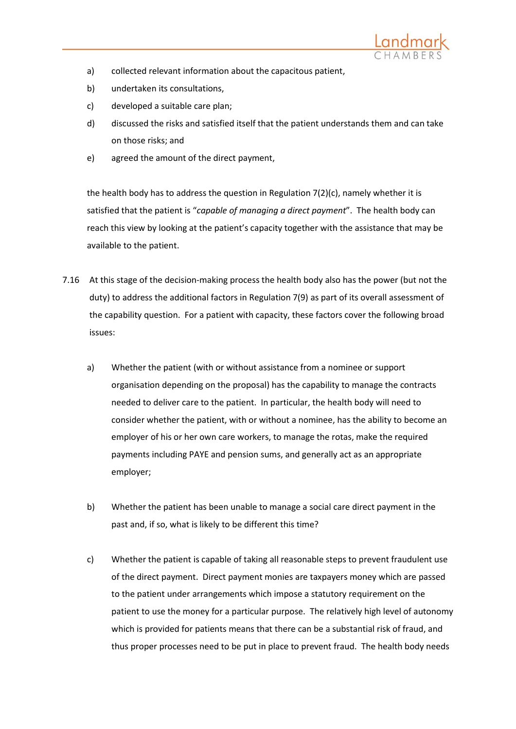

- a) collected relevant information about the capacitous patient,
- b) undertaken its consultations,
- c) developed a suitable care plan;
- d) discussed the risks and satisfied itself that the patient understands them and can take on those risks; and
- e) agreed the amount of the direct payment,

the health body has to address the question in Regulation  $7(2)(c)$ , namely whether it is satisfied that the patient is "*capable of managing a direct payment*". The health body can reach this view by looking at the patient's capacity together with the assistance that may be available to the patient.

- 7.16 At this stage of the decision-making process the health body also has the power (but not the duty) to address the additional factors in Regulation 7(9) as part of its overall assessment of the capability question. For a patient with capacity, these factors cover the following broad issues:
	- a) Whether the patient (with or without assistance from a nominee or support organisation depending on the proposal) has the capability to manage the contracts needed to deliver care to the patient. In particular, the health body will need to consider whether the patient, with or without a nominee, has the ability to become an employer of his or her own care workers, to manage the rotas, make the required payments including PAYE and pension sums, and generally act as an appropriate employer;
	- b) Whether the patient has been unable to manage a social care direct payment in the past and, if so, what is likely to be different this time?
	- c) Whether the patient is capable of taking all reasonable steps to prevent fraudulent use of the direct payment. Direct payment monies are taxpayers money which are passed to the patient under arrangements which impose a statutory requirement on the patient to use the money for a particular purpose. The relatively high level of autonomy which is provided for patients means that there can be a substantial risk of fraud, and thus proper processes need to be put in place to prevent fraud. The health body needs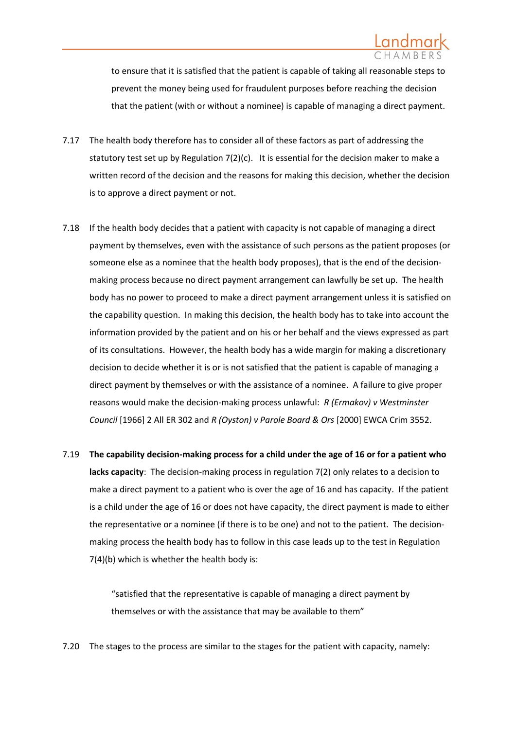

to ensure that it is satisfied that the patient is capable of taking all reasonable steps to prevent the money being used for fraudulent purposes before reaching the decision that the patient (with or without a nominee) is capable of managing a direct payment.

- 7.17 The health body therefore has to consider all of these factors as part of addressing the statutory test set up by Regulation 7(2)(c). It is essential for the decision maker to make a written record of the decision and the reasons for making this decision, whether the decision is to approve a direct payment or not.
- 7.18 If the health body decides that a patient with capacity is not capable of managing a direct payment by themselves, even with the assistance of such persons as the patient proposes (or someone else as a nominee that the health body proposes), that is the end of the decisionmaking process because no direct payment arrangement can lawfully be set up. The health body has no power to proceed to make a direct payment arrangement unless it is satisfied on the capability question. In making this decision, the health body has to take into account the information provided by the patient and on his or her behalf and the views expressed as part of its consultations. However, the health body has a wide margin for making a discretionary decision to decide whether it is or is not satisfied that the patient is capable of managing a direct payment by themselves or with the assistance of a nominee. A failure to give proper reasons would make the decision-making process unlawful: *R (Ermakov) v Westminster Council* [1966] 2 All ER 302 and *R (Oyston) v Parole Board & Ors* [2000] EWCA Crim 3552.
- 7.19 **The capability decision-making process for a child under the age of 16 or for a patient who lacks capacity**: The decision-making process in regulation 7(2) only relates to a decision to make a direct payment to a patient who is over the age of 16 and has capacity. If the patient is a child under the age of 16 or does not have capacity, the direct payment is made to either the representative or a nominee (if there is to be one) and not to the patient. The decisionmaking process the health body has to follow in this case leads up to the test in Regulation 7(4)(b) which is whether the health body is:

"satisfied that the representative is capable of managing a direct payment by themselves or with the assistance that may be available to them"

7.20 The stages to the process are similar to the stages for the patient with capacity, namely: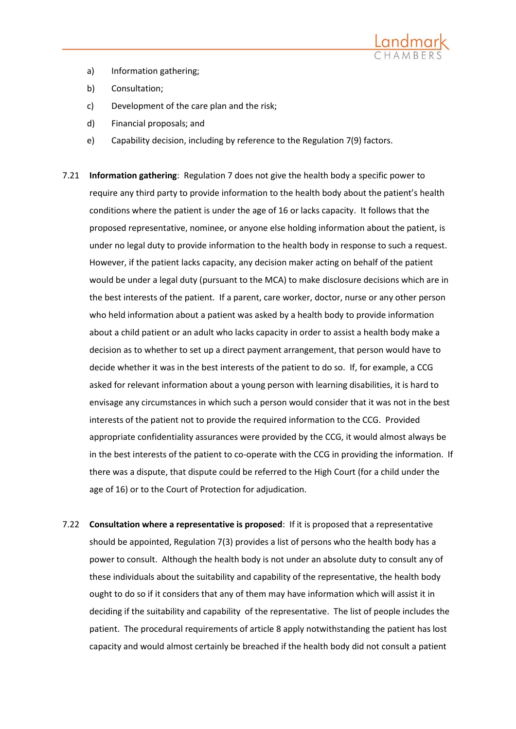

- a) Information gathering;
- b) Consultation;
- c) Development of the care plan and the risk;
- d) Financial proposals; and
- e) Capability decision, including by reference to the Regulation 7(9) factors.
- 7.21 **Information gathering**: Regulation 7 does not give the health body a specific power to require any third party to provide information to the health body about the patient's health conditions where the patient is under the age of 16 or lacks capacity. It follows that the proposed representative, nominee, or anyone else holding information about the patient, is under no legal duty to provide information to the health body in response to such a request. However, if the patient lacks capacity, any decision maker acting on behalf of the patient would be under a legal duty (pursuant to the MCA) to make disclosure decisions which are in the best interests of the patient. If a parent, care worker, doctor, nurse or any other person who held information about a patient was asked by a health body to provide information about a child patient or an adult who lacks capacity in order to assist a health body make a decision as to whether to set up a direct payment arrangement, that person would have to decide whether it was in the best interests of the patient to do so. If, for example, a CCG asked for relevant information about a young person with learning disabilities, it is hard to envisage any circumstances in which such a person would consider that it was not in the best interests of the patient not to provide the required information to the CCG. Provided appropriate confidentiality assurances were provided by the CCG, it would almost always be in the best interests of the patient to co-operate with the CCG in providing the information. If there was a dispute, that dispute could be referred to the High Court (for a child under the age of 16) or to the Court of Protection for adjudication.
- 7.22 **Consultation where a representative is proposed**: If it is proposed that a representative should be appointed, Regulation 7(3) provides a list of persons who the health body has a power to consult. Although the health body is not under an absolute duty to consult any of these individuals about the suitability and capability of the representative, the health body ought to do so if it considers that any of them may have information which will assist it in deciding if the suitability and capability of the representative. The list of people includes the patient. The procedural requirements of article 8 apply notwithstanding the patient has lost capacity and would almost certainly be breached if the health body did not consult a patient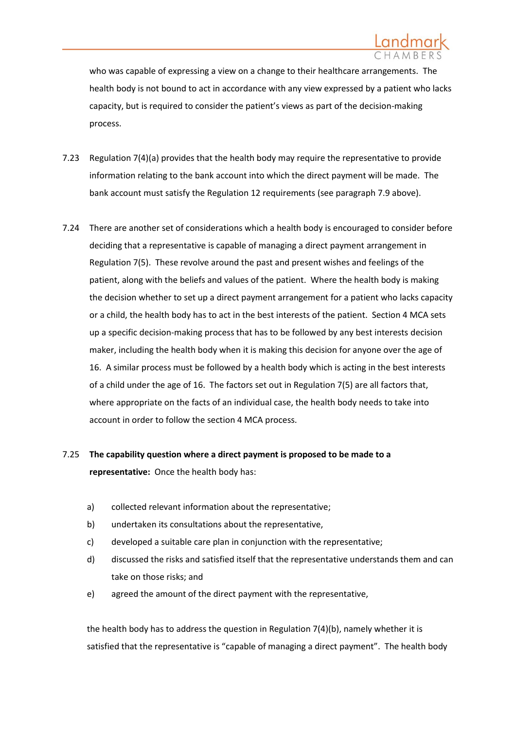who was capable of expressing a view on a change to their healthcare arrangements. The health body is not bound to act in accordance with any view expressed by a patient who lacks capacity, but is required to consider the patient's views as part of the decision-making process.

- 7.23 Regulation 7(4)(a) provides that the health body may require the representative to provide information relating to the bank account into which the direct payment will be made. The bank account must satisfy the Regulation 12 requirements (see paragraph [7.9](#page-22-0) above).
- 7.24 There are another set of considerations which a health body is encouraged to consider before deciding that a representative is capable of managing a direct payment arrangement in Regulation 7(5). These revolve around the past and present wishes and feelings of the patient, along with the beliefs and values of the patient. Where the health body is making the decision whether to set up a direct payment arrangement for a patient who lacks capacity or a child, the health body has to act in the best interests of the patient. Section 4 MCA sets up a specific decision-making process that has to be followed by any best interests decision maker, including the health body when it is making this decision for anyone over the age of 16. A similar process must be followed by a health body which is acting in the best interests of a child under the age of 16. The factors set out in Regulation 7(5) are all factors that, where appropriate on the facts of an individual case, the health body needs to take into account in order to follow the section 4 MCA process.

# 7.25 **The capability question where a direct payment is proposed to be made to a representative:** Once the health body has:

- a) collected relevant information about the representative;
- b) undertaken its consultations about the representative,
- c) developed a suitable care plan in conjunction with the representative;
- d) discussed the risks and satisfied itself that the representative understands them and can take on those risks; and
- e) agreed the amount of the direct payment with the representative,

the health body has to address the question in Regulation 7(4)(b), namely whether it is satisfied that the representative is "capable of managing a direct payment". The health body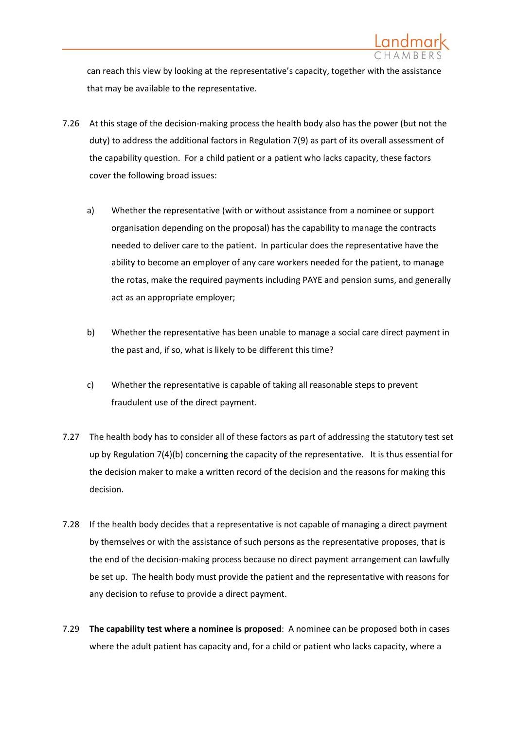

can reach this view by looking at the representative's capacity, together with the assistance that may be available to the representative.

- 7.26 At this stage of the decision-making process the health body also has the power (but not the duty) to address the additional factors in Regulation 7(9) as part of its overall assessment of the capability question. For a child patient or a patient who lacks capacity, these factors cover the following broad issues:
	- a) Whether the representative (with or without assistance from a nominee or support organisation depending on the proposal) has the capability to manage the contracts needed to deliver care to the patient. In particular does the representative have the ability to become an employer of any care workers needed for the patient, to manage the rotas, make the required payments including PAYE and pension sums, and generally act as an appropriate employer;
	- b) Whether the representative has been unable to manage a social care direct payment in the past and, if so, what is likely to be different this time?
	- c) Whether the representative is capable of taking all reasonable steps to prevent fraudulent use of the direct payment.
- 7.27 The health body has to consider all of these factors as part of addressing the statutory test set up by Regulation 7(4)(b) concerning the capacity of the representative. It is thus essential for the decision maker to make a written record of the decision and the reasons for making this decision.
- 7.28 If the health body decides that a representative is not capable of managing a direct payment by themselves or with the assistance of such persons as the representative proposes, that is the end of the decision-making process because no direct payment arrangement can lawfully be set up. The health body must provide the patient and the representative with reasons for any decision to refuse to provide a direct payment.
- 7.29 **The capability test where a nominee is proposed**: A nominee can be proposed both in cases where the adult patient has capacity and, for a child or patient who lacks capacity, where a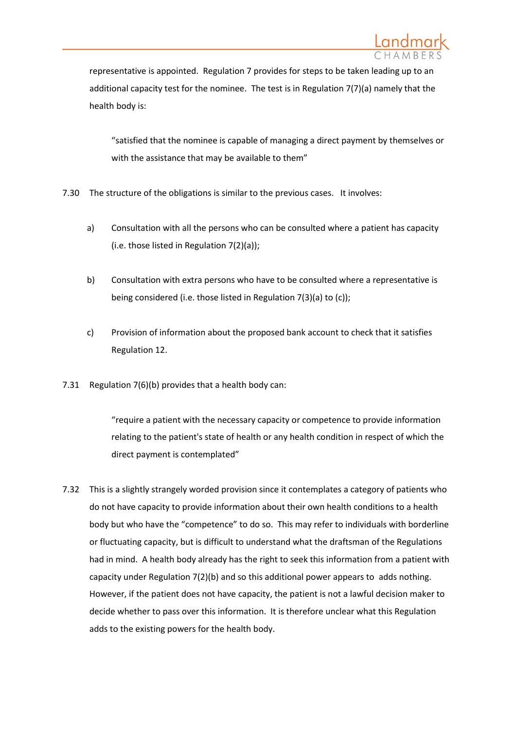

representative is appointed. Regulation 7 provides for steps to be taken leading up to an additional capacity test for the nominee. The test is in Regulation 7(7)(a) namely that the health body is:

"satisfied that the nominee is capable of managing a direct payment by themselves or with the assistance that may be available to them"

- 7.30 The structure of the obligations is similar to the previous cases. It involves:
	- a) Consultation with all the persons who can be consulted where a patient has capacity (i.e. those listed in Regulation 7(2)(a));
	- b) Consultation with extra persons who have to be consulted where a representative is being considered (i.e. those listed in Regulation 7(3)(a) to (c));
	- c) Provision of information about the proposed bank account to check that it satisfies Regulation 12.
- 7.31 Regulation 7(6)(b) provides that a health body can:

"require a patient with the necessary capacity or competence to provide information relating to the patient's state of health or any health condition in respect of which the direct payment is contemplated"

7.32 This is a slightly strangely worded provision since it contemplates a category of patients who do not have capacity to provide information about their own health conditions to a health body but who have the "competence" to do so. This may refer to individuals with borderline or fluctuating capacity, but is difficult to understand what the draftsman of the Regulations had in mind. A health body already has the right to seek this information from a patient with capacity under Regulation 7(2)(b) and so this additional power appears to adds nothing. However, if the patient does not have capacity, the patient is not a lawful decision maker to decide whether to pass over this information. It is therefore unclear what this Regulation adds to the existing powers for the health body.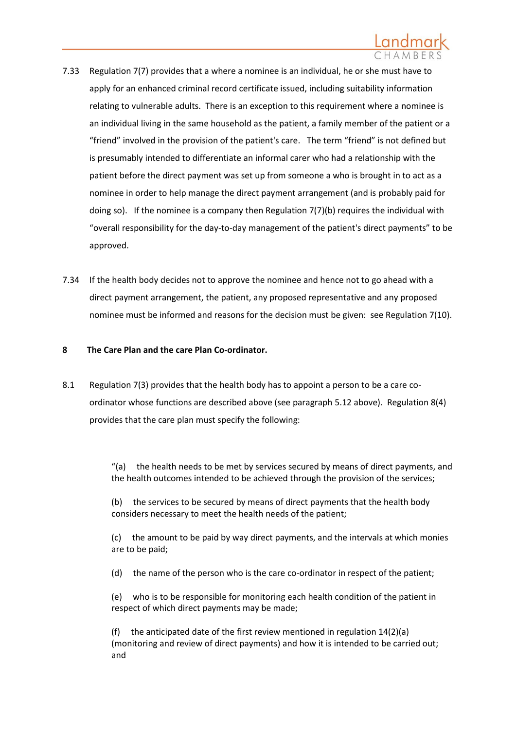

- 7.33 Regulation 7(7) provides that a where a nominee is an individual, he or she must have to apply for an enhanced criminal record certificate issued, including suitability information relating to vulnerable adults. There is an exception to this requirement where a nominee is an individual living in the same household as the patient, a family member of the patient or a "friend" involved in the provision of the patient's care. The term "friend" is not defined but is presumably intended to differentiate an informal carer who had a relationship with the patient before the direct payment was set up from someone a who is brought in to act as a nominee in order to help manage the direct payment arrangement (and is probably paid for doing so). If the nominee is a company then Regulation 7(7)(b) requires the individual with "overall responsibility for the day-to-day management of the patient's direct payments" to be approved.
- 7.34 If the health body decides not to approve the nominee and hence not to go ahead with a direct payment arrangement, the patient, any proposed representative and any proposed nominee must be informed and reasons for the decision must be given: see Regulation 7(10).

### **8 The Care Plan and the care Plan Co-ordinator.**

8.1 Regulation 7(3) provides that the health body has to appoint a person to be a care coordinator whose functions are described above (see paragraph [5.12](#page-14-0) above). Regulation 8(4) provides that the care plan must specify the following:

> "(a) the health needs to be met by services secured by means of direct payments, and the health outcomes intended to be achieved through the provision of the services;

(b) the services to be secured by means of direct payments that the health body considers necessary to meet the health needs of the patient;

(c) the amount to be paid by way direct payments, and the intervals at which monies are to be paid;

(d) the name of the person who is the care co-ordinator in respect of the patient;

(e) who is to be responsible for monitoring each health condition of the patient in respect of which direct payments may be made;

(f) the anticipated date of the first review mentioned in regulation 14(2)(a) (monitoring and review of direct payments) and how it is intended to be carried out; and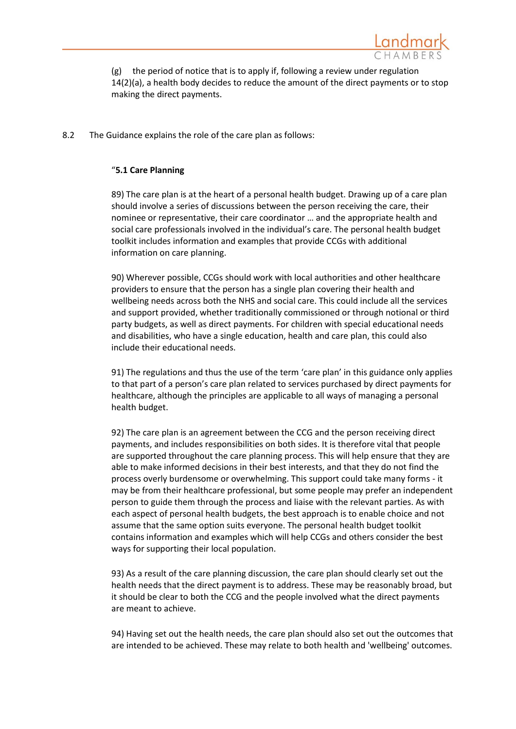

(g) the period of notice that is to apply if, following a review under regulation 14(2)(a), a health body decides to reduce the amount of the direct payments or to stop making the direct payments.

8.2 The Guidance explains the role of the care plan as follows:

### "**5.1 Care Planning**

89) The care plan is at the heart of a personal health budget. Drawing up of a care plan should involve a series of discussions between the person receiving the care, their nominee or representative, their care coordinator … and the appropriate health and social care professionals involved in the individual's care. The personal health budget toolkit includes information and examples that provide CCGs with additional information on care planning.

90) Wherever possible, CCGs should work with local authorities and other healthcare providers to ensure that the person has a single plan covering their health and wellbeing needs across both the NHS and social care. This could include all the services and support provided, whether traditionally commissioned or through notional or third party budgets, as well as direct payments. For children with special educational needs and disabilities, who have a single education, health and care plan, this could also include their educational needs.

91) The regulations and thus the use of the term 'care plan' in this guidance only applies to that part of a person's care plan related to services purchased by direct payments for healthcare, although the principles are applicable to all ways of managing a personal health budget.

92) The care plan is an agreement between the CCG and the person receiving direct payments, and includes responsibilities on both sides. It is therefore vital that people are supported throughout the care planning process. This will help ensure that they are able to make informed decisions in their best interests, and that they do not find the process overly burdensome or overwhelming. This support could take many forms - it may be from their healthcare professional, but some people may prefer an independent person to guide them through the process and liaise with the relevant parties. As with each aspect of personal health budgets, the best approach is to enable choice and not assume that the same option suits everyone. The personal health budget toolkit contains information and examples which will help CCGs and others consider the best ways for supporting their local population.

93) As a result of the care planning discussion, the care plan should clearly set out the health needs that the direct payment is to address. These may be reasonably broad, but it should be clear to both the CCG and the people involved what the direct payments are meant to achieve.

94) Having set out the health needs, the care plan should also set out the outcomes that are intended to be achieved. These may relate to both health and 'wellbeing' outcomes.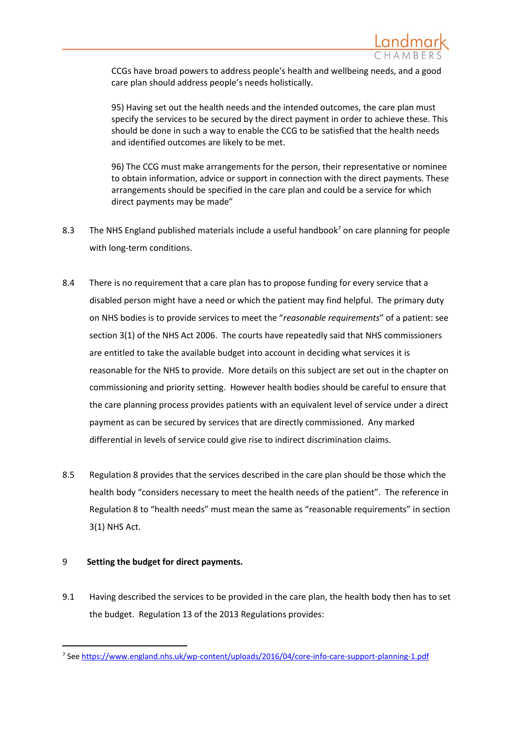

CCGs have broad powers to address people's health and wellbeing needs, and a good care plan should address people's needs holistically.

95) Having set out the health needs and the intended outcomes, the care plan must specify the services to be secured by the direct payment in order to achieve these. This should be done in such a way to enable the CCG to be satisfied that the health needs and identified outcomes are likely to be met.

96) The CCG must make arrangements for the person, their representative or nominee to obtain information, advice or support in connection with the direct payments. These arrangements should be specified in the care plan and could be a service for which direct payments may be made"

- 8.3 The NHS England published materials include a useful handbook<sup>7</sup> on care planning for people with long-term conditions.
- 8.4 There is no requirement that a care plan has to propose funding for every service that a disabled person might have a need or which the patient may find helpful. The primary duty on NHS bodies is to provide services to meet the "*reasonable requirements*" of a patient: see section 3(1) of the NHS Act 2006. The courts have repeatedly said that NHS commissioners are entitled to take the available budget into account in deciding what services it is reasonable for the NHS to provide. More details on this subject are set out in the chapter on commissioning and priority setting. However health bodies should be careful to ensure that the care planning process provides patients with an equivalent level of service under a direct payment as can be secured by services that are directly commissioned. Any marked differential in levels of service could give rise to indirect discrimination claims.
- 8.5 Regulation 8 provides that the services described in the care plan should be those which the health body "considers necessary to meet the health needs of the patient". The reference in Regulation 8 to "health needs" must mean the same as "reasonable requirements" in section 3(1) NHS Act.

### 9 **Setting the budget for direct payments.**

-

9.1 Having described the services to be provided in the care plan, the health body then has to set the budget. Regulation 13 of the 2013 Regulations provides:

<sup>&</sup>lt;sup>7</sup> See<https://www.england.nhs.uk/wp-content/uploads/2016/04/core-info-care-support-planning-1.pdf>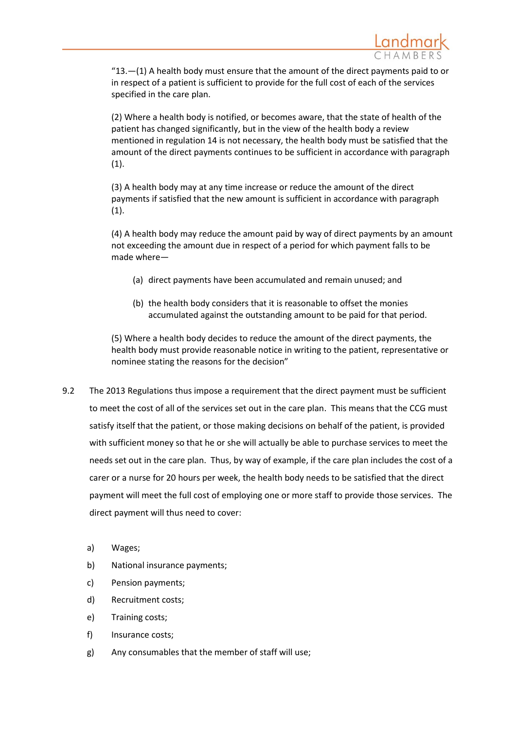

 $"13.$  -(1) A health body must ensure that the amount of the direct payments paid to or in respect of a patient is sufficient to provide for the full cost of each of the services specified in the care plan.

(2) Where a health body is notified, or becomes aware, that the state of health of the patient has changed significantly, but in the view of the health body a review mentioned in regulation 14 is not necessary, the health body must be satisfied that the amount of the direct payments continues to be sufficient in accordance with paragraph (1).

(3) A health body may at any time increase or reduce the amount of the direct payments if satisfied that the new amount is sufficient in accordance with paragraph  $(1).$ 

(4) A health body may reduce the amount paid by way of direct payments by an amount not exceeding the amount due in respect of a period for which payment falls to be made where—

- (a) direct payments have been accumulated and remain unused; and
- (b) the health body considers that it is reasonable to offset the monies accumulated against the outstanding amount to be paid for that period.

(5) Where a health body decides to reduce the amount of the direct payments, the health body must provide reasonable notice in writing to the patient, representative or nominee stating the reasons for the decision"

- 9.2 The 2013 Regulations thus impose a requirement that the direct payment must be sufficient to meet the cost of all of the services set out in the care plan. This means that the CCG must satisfy itself that the patient, or those making decisions on behalf of the patient, is provided with sufficient money so that he or she will actually be able to purchase services to meet the needs set out in the care plan. Thus, by way of example, if the care plan includes the cost of a carer or a nurse for 20 hours per week, the health body needs to be satisfied that the direct payment will meet the full cost of employing one or more staff to provide those services. The direct payment will thus need to cover:
	- a) Wages;
	- b) National insurance payments;
	- c) Pension payments;
	- d) Recruitment costs;
	- e) Training costs;
	- f) Insurance costs;
	- g) Any consumables that the member of staff will use;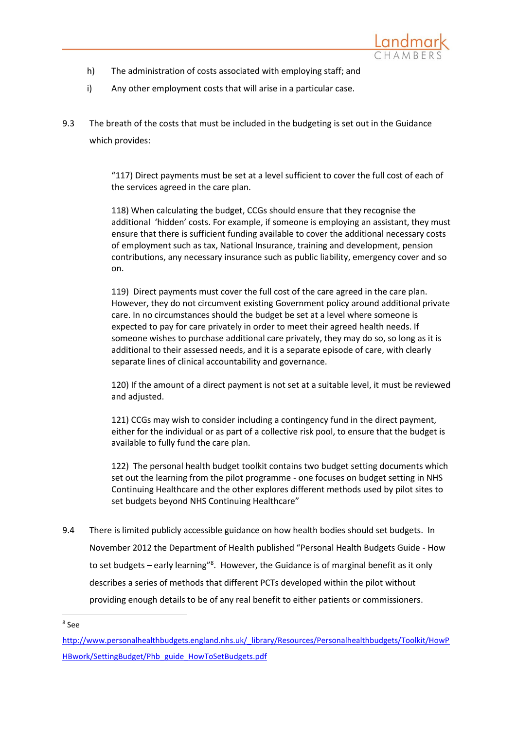

- h) The administration of costs associated with employing staff; and
- i) Any other employment costs that will arise in a particular case.
- 9.3 The breath of the costs that must be included in the budgeting is set out in the Guidance which provides:

"117) Direct payments must be set at a level sufficient to cover the full cost of each of the services agreed in the care plan.

118) When calculating the budget, CCGs should ensure that they recognise the additional 'hidden' costs. For example, if someone is employing an assistant, they must ensure that there is sufficient funding available to cover the additional necessary costs of employment such as tax, National Insurance, training and development, pension contributions, any necessary insurance such as public liability, emergency cover and so on.

119) Direct payments must cover the full cost of the care agreed in the care plan. However, they do not circumvent existing Government policy around additional private care. In no circumstances should the budget be set at a level where someone is expected to pay for care privately in order to meet their agreed health needs. If someone wishes to purchase additional care privately, they may do so, so long as it is additional to their assessed needs, and it is a separate episode of care, with clearly separate lines of clinical accountability and governance.

120) If the amount of a direct payment is not set at a suitable level, it must be reviewed and adjusted.

121) CCGs may wish to consider including a contingency fund in the direct payment, either for the individual or as part of a collective risk pool, to ensure that the budget is available to fully fund the care plan.

122) The personal health budget toolkit contains two budget setting documents which set out the learning from the pilot programme - one focuses on budget setting in NHS Continuing Healthcare and the other explores different methods used by pilot sites to set budgets beyond NHS Continuing Healthcare"

9.4 There is limited publicly accessible guidance on how health bodies should set budgets. In November 2012 the Department of Health published "Personal Health Budgets Guide - How to set budgets – early learning"<sup>8</sup>. However, the Guidance is of marginal benefit as it only describes a series of methods that different PCTs developed within the pilot without providing enough details to be of any real benefit to either patients or commissioners.

<sup>1</sup> 8 See

[http://www.personalhealthbudgets.england.nhs.uk/\\_library/Resources/Personalhealthbudgets/Toolkit/HowP](http://www.personalhealthbudgets.england.nhs.uk/_library/Resources/Personalhealthbudgets/Toolkit/HowPHBwork/SettingBudget/Phb_guide_HowToSetBudgets.pdf) [HBwork/SettingBudget/Phb\\_guide\\_HowToSetBudgets.pdf](http://www.personalhealthbudgets.england.nhs.uk/_library/Resources/Personalhealthbudgets/Toolkit/HowPHBwork/SettingBudget/Phb_guide_HowToSetBudgets.pdf)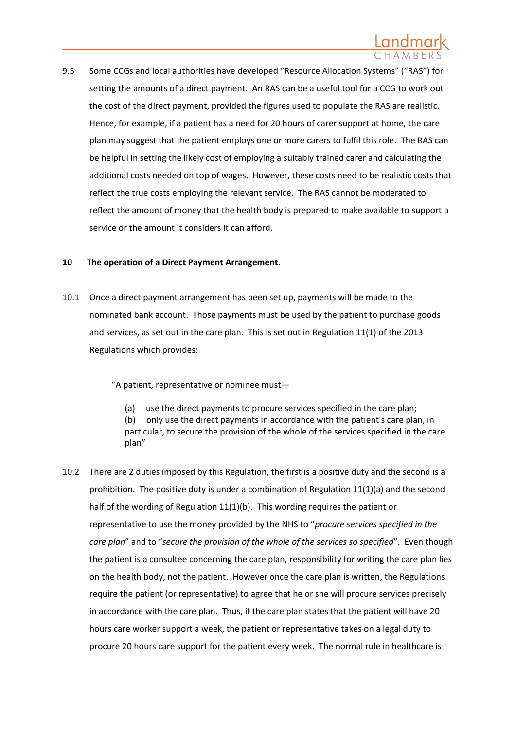

9.5 Some CCGs and local authorities have developed "Resource Allocation Systems" ("RAS") for setting the amounts of a direct payment. An RAS can be a useful tool for a CCG to work out the cost of the direct payment, provided the figures used to populate the RAS are realistic. Hence, for example, if a patient has a need for 20 hours of carer support at home, the care plan may suggest that the patient employs one or more carers to fulfil this role. The RAS can be helpful in setting the likely cost of employing a suitably trained carer and calculating the additional costs needed on top of wages. However, these costs need to be realistic costs that reflect the true costs employing the relevant service. The RAS cannot be moderated to reflect the amount of money that the health body is prepared to make available to support a service or the amount it considers it can afford.

### **10 The operation of a Direct Payment Arrangement.**

10.1 Once a direct payment arrangement has been set up, payments will be made to the nominated bank account. Those payments must be used by the patient to purchase goods and services, as set out in the care plan. This is set out in Regulation 11(1) of the 2013 Regulations which provides:

"A patient, representative or nominee must—

(a) use the direct payments to procure services specified in the care plan; (b) only use the direct payments in accordance with the patient's care plan, in particular, to secure the provision of the whole of the services specified in the care plan"

10.2 There are 2 duties imposed by this Regulation, the first is a positive duty and the second is a prohibition. The positive duty is under a combination of Regulation  $11(1)(a)$  and the second half of the wording of Regulation 11(1)(b). This wording requires the patient or representative to use the money provided by the NHS to "*procure services specified in the care plan*" and to "*secure the provision of the whole of the services so specified*". Even though the patient is a consultee concerning the care plan, responsibility for writing the care plan lies on the health body, not the patient. However once the care plan is written, the Regulations require the patient (or representative) to agree that he or she will procure services precisely in accordance with the care plan. Thus, if the care plan states that the patient will have 20 hours care worker support a week, the patient or representative takes on a legal duty to procure 20 hours care support for the patient every week. The normal rule in healthcare is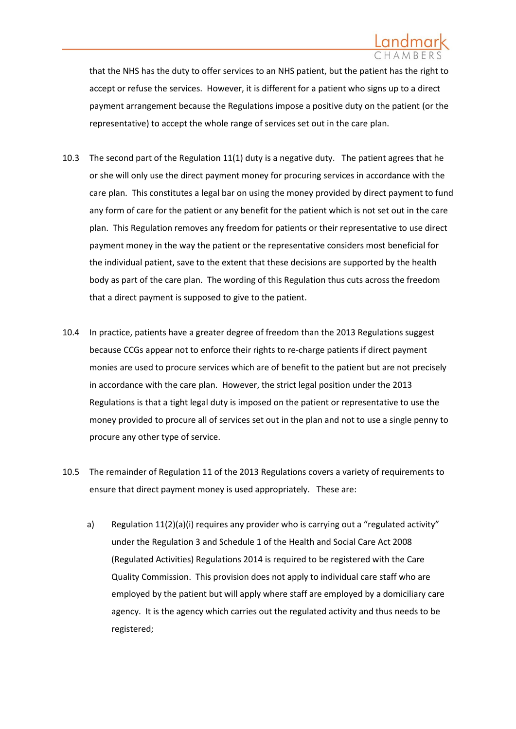that the NHS has the duty to offer services to an NHS patient, but the patient has the right to accept or refuse the services. However, it is different for a patient who signs up to a direct payment arrangement because the Regulations impose a positive duty on the patient (or the representative) to accept the whole range of services set out in the care plan.

- 10.3 The second part of the Regulation 11(1) duty is a negative duty. The patient agrees that he or she will only use the direct payment money for procuring services in accordance with the care plan. This constitutes a legal bar on using the money provided by direct payment to fund any form of care for the patient or any benefit for the patient which is not set out in the care plan. This Regulation removes any freedom for patients or their representative to use direct payment money in the way the patient or the representative considers most beneficial for the individual patient, save to the extent that these decisions are supported by the health body as part of the care plan. The wording of this Regulation thus cuts across the freedom that a direct payment is supposed to give to the patient.
- 10.4 In practice, patients have a greater degree of freedom than the 2013 Regulations suggest because CCGs appear not to enforce their rights to re-charge patients if direct payment monies are used to procure services which are of benefit to the patient but are not precisely in accordance with the care plan. However, the strict legal position under the 2013 Regulations is that a tight legal duty is imposed on the patient or representative to use the money provided to procure all of services set out in the plan and not to use a single penny to procure any other type of service.
- 10.5 The remainder of Regulation 11 of the 2013 Regulations covers a variety of requirements to ensure that direct payment money is used appropriately. These are:
	- a) Regulation 11(2)(a)(i) requires any provider who is carrying out a "regulated activity" under the Regulation 3 and Schedule 1 of the Health and Social Care Act 2008 (Regulated Activities) Regulations 2014 is required to be registered with the Care Quality Commission. This provision does not apply to individual care staff who are employed by the patient but will apply where staff are employed by a domiciliary care agency. It is the agency which carries out the regulated activity and thus needs to be registered;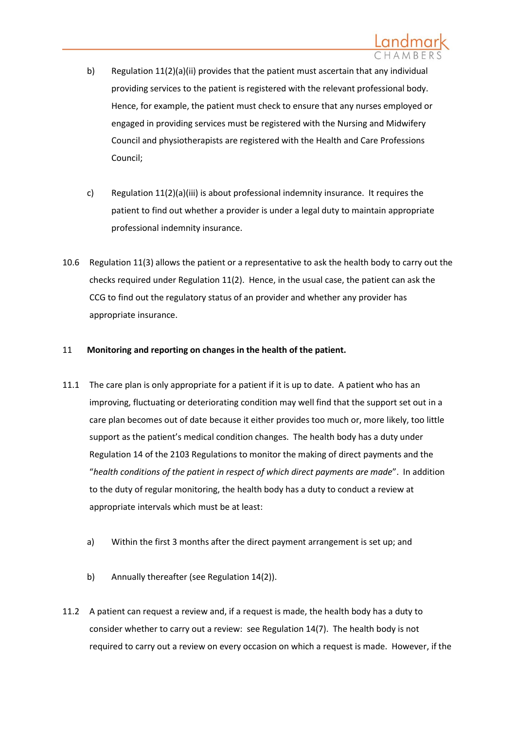

- b) Regulation 11(2)(a)(ii) provides that the patient must ascertain that any individual providing services to the patient is registered with the relevant professional body. Hence, for example, the patient must check to ensure that any nurses employed or engaged in providing services must be registered with the Nursing and Midwifery Council and physiotherapists are registered with the Health and Care Professions Council;
- c) Regulation 11(2)(a)(iii) is about professional indemnity insurance. It requires the patient to find out whether a provider is under a legal duty to maintain appropriate professional indemnity insurance.
- 10.6 Regulation 11(3) allows the patient or a representative to ask the health body to carry out the checks required under Regulation 11(2). Hence, in the usual case, the patient can ask the CCG to find out the regulatory status of an provider and whether any provider has appropriate insurance.

### 11 **Monitoring and reporting on changes in the health of the patient.**

- 11.1 The care plan is only appropriate for a patient if it is up to date. A patient who has an improving, fluctuating or deteriorating condition may well find that the support set out in a care plan becomes out of date because it either provides too much or, more likely, too little support as the patient's medical condition changes. The health body has a duty under Regulation 14 of the 2103 Regulations to monitor the making of direct payments and the "*health conditions of the patient in respect of which direct payments are made*". In addition to the duty of regular monitoring, the health body has a duty to conduct a review at appropriate intervals which must be at least:
	- a) Within the first 3 months after the direct payment arrangement is set up; and
	- b) Annually thereafter (see Regulation 14(2)).
- 11.2 A patient can request a review and, if a request is made, the health body has a duty to consider whether to carry out a review: see Regulation 14(7). The health body is not required to carry out a review on every occasion on which a request is made. However, if the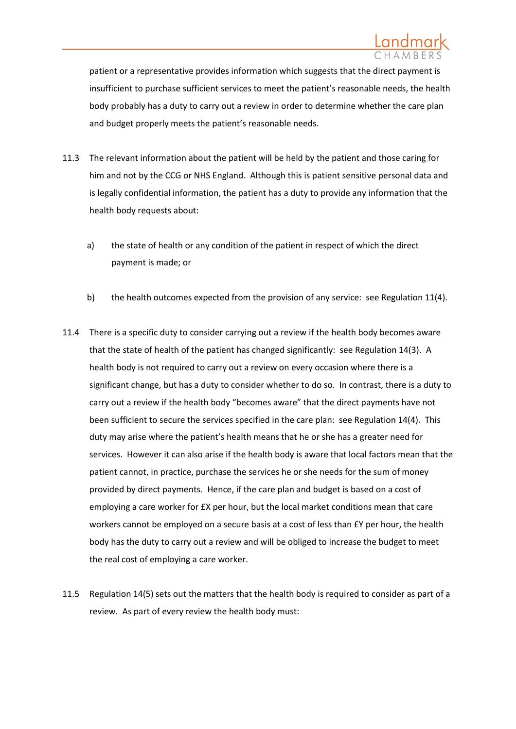patient or a representative provides information which suggests that the direct payment is insufficient to purchase sufficient services to meet the patient's reasonable needs, the health body probably has a duty to carry out a review in order to determine whether the care plan and budget properly meets the patient's reasonable needs.

- 11.3 The relevant information about the patient will be held by the patient and those caring for him and not by the CCG or NHS England. Although this is patient sensitive personal data and is legally confidential information, the patient has a duty to provide any information that the health body requests about:
	- a) the state of health or any condition of the patient in respect of which the direct payment is made; or
	- b) the health outcomes expected from the provision of any service: see Regulation 11(4).
- 11.4 There is a specific duty to consider carrying out a review if the health body becomes aware that the state of health of the patient has changed significantly: see Regulation 14(3). A health body is not required to carry out a review on every occasion where there is a significant change, but has a duty to consider whether to do so. In contrast, there is a duty to carry out a review if the health body "becomes aware" that the direct payments have not been sufficient to secure the services specified in the care plan: see Regulation 14(4). This duty may arise where the patient's health means that he or she has a greater need for services. However it can also arise if the health body is aware that local factors mean that the patient cannot, in practice, purchase the services he or she needs for the sum of money provided by direct payments. Hence, if the care plan and budget is based on a cost of employing a care worker for £X per hour, but the local market conditions mean that care workers cannot be employed on a secure basis at a cost of less than £Y per hour, the health body has the duty to carry out a review and will be obliged to increase the budget to meet the real cost of employing a care worker.
- 11.5 Regulation 14(5) sets out the matters that the health body is required to consider as part of a review. As part of every review the health body must: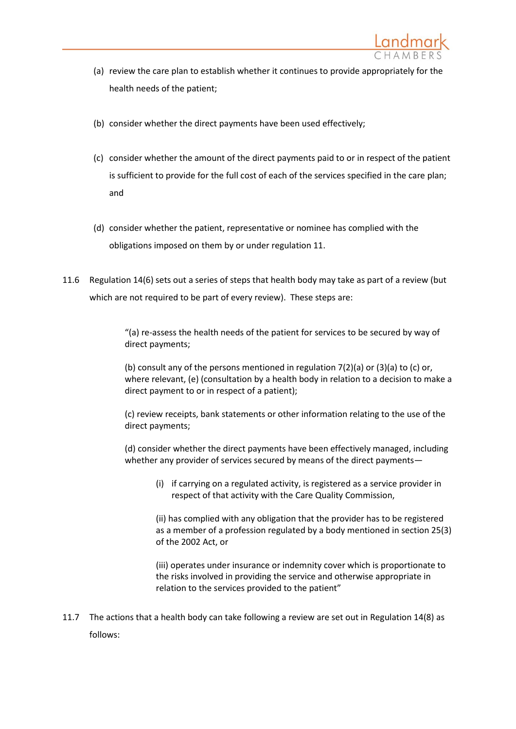

- (a) review the care plan to establish whether it continues to provide appropriately for the health needs of the patient;
- (b) consider whether the direct payments have been used effectively;
- (c) consider whether the amount of the direct payments paid to or in respect of the patient is sufficient to provide for the full cost of each of the services specified in the care plan; and
- (d) consider whether the patient, representative or nominee has complied with the obligations imposed on them by or under regulation 11.
- 11.6 Regulation 14(6) sets out a series of steps that health body may take as part of a review (but which are not required to be part of every review). These steps are:

"(a) re-assess the health needs of the patient for services to be secured by way of direct payments;

(b) consult any of the persons mentioned in regulation 7(2)(a) or (3)(a) to (c) or, where relevant, (e) (consultation by a health body in relation to a decision to make a direct payment to or in respect of a patient);

(c) review receipts, bank statements or other information relating to the use of the direct payments;

(d) consider whether the direct payments have been effectively managed, including whether any provider of services secured by means of the direct payments—

(i) if carrying on a regulated activity, is registered as a service provider in respect of that activity with the Care Quality Commission,

(ii) has complied with any obligation that the provider has to be registered as a member of a profession regulated by a body mentioned in section 25(3) of the 2002 Act, or

(iii) operates under insurance or indemnity cover which is proportionate to the risks involved in providing the service and otherwise appropriate in relation to the services provided to the patient"

11.7 The actions that a health body can take following a review are set out in Regulation 14(8) as follows: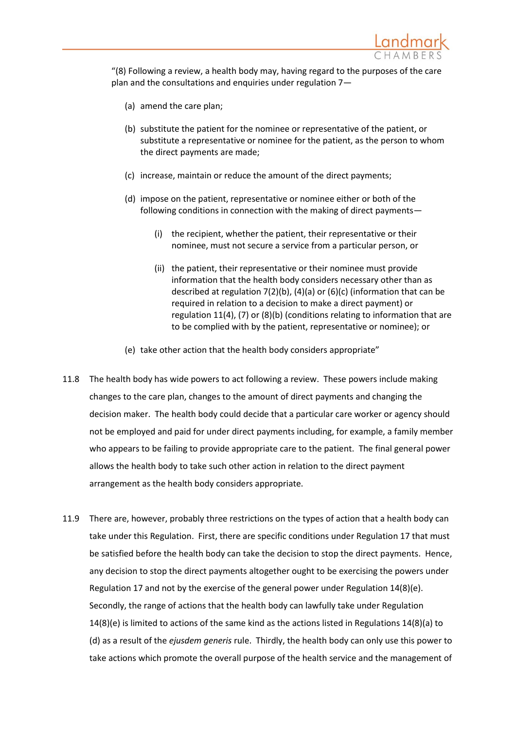

"(8) Following a review, a health body may, having regard to the purposes of the care plan and the consultations and enquiries under regulation 7—

- (a) amend the care plan;
- (b) substitute the patient for the nominee or representative of the patient, or substitute a representative or nominee for the patient, as the person to whom the direct payments are made;
- (c) increase, maintain or reduce the amount of the direct payments;
- (d) impose on the patient, representative or nominee either or both of the following conditions in connection with the making of direct payments—
	- (i) the recipient, whether the patient, their representative or their nominee, must not secure a service from a particular person, or
	- (ii) the patient, their representative or their nominee must provide information that the health body considers necessary other than as described at regulation 7(2)(b), (4)(a) or (6)(c) (information that can be required in relation to a decision to make a direct payment) or regulation 11(4), (7) or (8)(b) (conditions relating to information that are to be complied with by the patient, representative or nominee); or
- (e) take other action that the health body considers appropriate"
- 11.8 The health body has wide powers to act following a review. These powers include making changes to the care plan, changes to the amount of direct payments and changing the decision maker. The health body could decide that a particular care worker or agency should not be employed and paid for under direct payments including, for example, a family member who appears to be failing to provide appropriate care to the patient. The final general power allows the health body to take such other action in relation to the direct payment arrangement as the health body considers appropriate.
- 11.9 There are, however, probably three restrictions on the types of action that a health body can take under this Regulation. First, there are specific conditions under Regulation 17 that must be satisfied before the health body can take the decision to stop the direct payments. Hence, any decision to stop the direct payments altogether ought to be exercising the powers under Regulation 17 and not by the exercise of the general power under Regulation 14(8)(e). Secondly, the range of actions that the health body can lawfully take under Regulation 14(8)(e) is limited to actions of the same kind as the actions listed in Regulations 14(8)(a) to (d) as a result of the *ejusdem generis* rule. Thirdly, the health body can only use this power to take actions which promote the overall purpose of the health service and the management of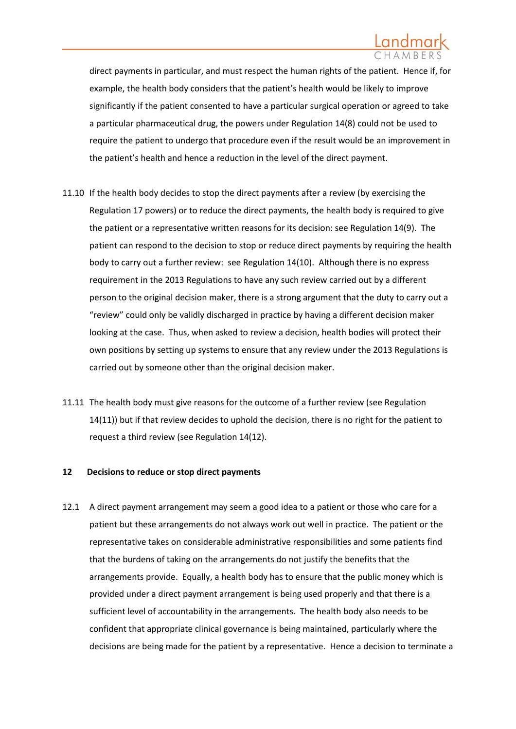direct payments in particular, and must respect the human rights of the patient. Hence if, for example, the health body considers that the patient's health would be likely to improve significantly if the patient consented to have a particular surgical operation or agreed to take a particular pharmaceutical drug, the powers under Regulation 14(8) could not be used to require the patient to undergo that procedure even if the result would be an improvement in the patient's health and hence a reduction in the level of the direct payment.

- <span id="page-43-0"></span>11.10 If the health body decides to stop the direct payments after a review (by exercising the Regulation 17 powers) or to reduce the direct payments, the health body is required to give the patient or a representative written reasons for its decision: see Regulation 14(9). The patient can respond to the decision to stop or reduce direct payments by requiring the health body to carry out a further review: see Regulation 14(10). Although there is no express requirement in the 2013 Regulations to have any such review carried out by a different person to the original decision maker, there is a strong argument that the duty to carry out a "review" could only be validly discharged in practice by having a different decision maker looking at the case. Thus, when asked to review a decision, health bodies will protect their own positions by setting up systems to ensure that any review under the 2013 Regulations is carried out by someone other than the original decision maker.
- 11.11 The health body must give reasons for the outcome of a further review (see Regulation 14(11)) but if that review decides to uphold the decision, there is no right for the patient to request a third review (see Regulation 14(12).

### **12 Decisions to reduce or stop direct payments**

12.1 A direct payment arrangement may seem a good idea to a patient or those who care for a patient but these arrangements do not always work out well in practice. The patient or the representative takes on considerable administrative responsibilities and some patients find that the burdens of taking on the arrangements do not justify the benefits that the arrangements provide. Equally, a health body has to ensure that the public money which is provided under a direct payment arrangement is being used properly and that there is a sufficient level of accountability in the arrangements. The health body also needs to be confident that appropriate clinical governance is being maintained, particularly where the decisions are being made for the patient by a representative. Hence a decision to terminate a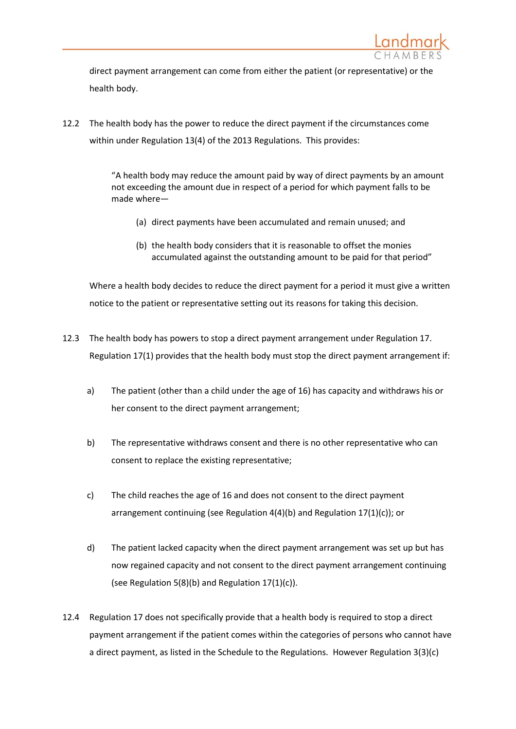

direct payment arrangement can come from either the patient (or representative) or the health body.

12.2 The health body has the power to reduce the direct payment if the circumstances come within under Regulation 13(4) of the 2013 Regulations. This provides:

> "A health body may reduce the amount paid by way of direct payments by an amount not exceeding the amount due in respect of a period for which payment falls to be made where—

- (a) direct payments have been accumulated and remain unused; and
- (b) the health body considers that it is reasonable to offset the monies accumulated against the outstanding amount to be paid for that period"

Where a health body decides to reduce the direct payment for a period it must give a written notice to the patient or representative setting out its reasons for taking this decision.

- 12.3 The health body has powers to stop a direct payment arrangement under Regulation 17. Regulation 17(1) provides that the health body must stop the direct payment arrangement if:
	- a) The patient (other than a child under the age of 16) has capacity and withdraws his or her consent to the direct payment arrangement;
	- b) The representative withdraws consent and there is no other representative who can consent to replace the existing representative;
	- c) The child reaches the age of 16 and does not consent to the direct payment arrangement continuing (see Regulation 4(4)(b) and Regulation 17(1)(c)); or
	- d) The patient lacked capacity when the direct payment arrangement was set up but has now regained capacity and not consent to the direct payment arrangement continuing (see Regulation 5(8)(b) and Regulation 17(1)(c)).
- 12.4 Regulation 17 does not specifically provide that a health body is required to stop a direct payment arrangement if the patient comes within the categories of persons who cannot have a direct payment, as listed in the Schedule to the Regulations. However Regulation 3(3)(c)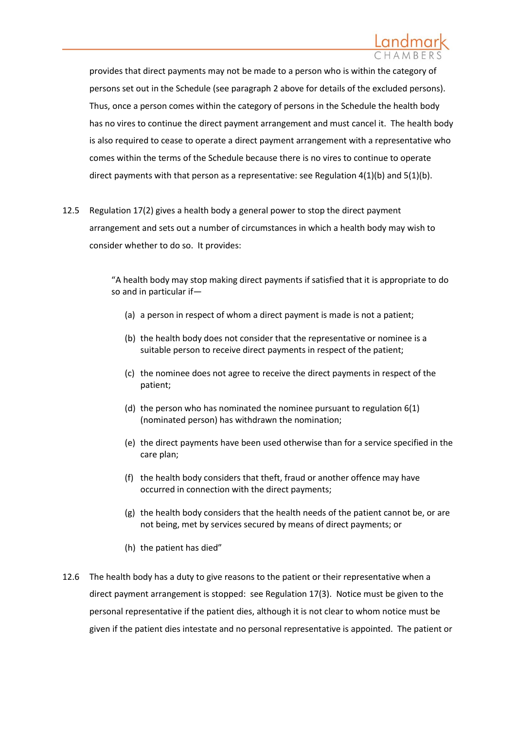

provides that direct payments may not be made to a person who is within the category of persons set out in the Schedule (see paragraph [2](#page-4-0) above for details of the excluded persons). Thus, once a person comes within the category of persons in the Schedule the health body has no vires to continue the direct payment arrangement and must cancel it. The health body is also required to cease to operate a direct payment arrangement with a representative who comes within the terms of the Schedule because there is no vires to continue to operate direct payments with that person as a representative: see Regulation  $4(1)(b)$  and  $5(1)(b)$ .

12.5 Regulation 17(2) gives a health body a general power to stop the direct payment arrangement and sets out a number of circumstances in which a health body may wish to consider whether to do so. It provides:

> "A health body may stop making direct payments if satisfied that it is appropriate to do so and in particular if—

- (a) a person in respect of whom a direct payment is made is not a patient;
- (b) the health body does not consider that the representative or nominee is a suitable person to receive direct payments in respect of the patient;
- (c) the nominee does not agree to receive the direct payments in respect of the patient;
- (d) the person who has nominated the nominee pursuant to regulation 6(1) (nominated person) has withdrawn the nomination;
- (e) the direct payments have been used otherwise than for a service specified in the care plan;
- (f) the health body considers that theft, fraud or another offence may have occurred in connection with the direct payments;
- (g) the health body considers that the health needs of the patient cannot be, or are not being, met by services secured by means of direct payments; or
- (h) the patient has died"
- 12.6 The health body has a duty to give reasons to the patient or their representative when a direct payment arrangement is stopped: see Regulation 17(3). Notice must be given to the personal representative if the patient dies, although it is not clear to whom notice must be given if the patient dies intestate and no personal representative is appointed. The patient or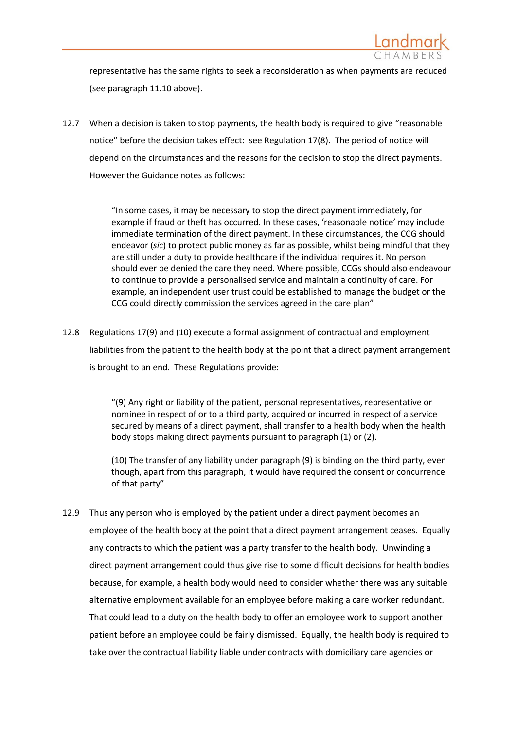

representative has the same rights to seek a reconsideration as when payments are reduced (see paragrap[h 11.10](#page-43-0) above).

12.7 When a decision is taken to stop payments, the health body is required to give "reasonable notice" before the decision takes effect: see Regulation 17(8). The period of notice will depend on the circumstances and the reasons for the decision to stop the direct payments. However the Guidance notes as follows:

> "In some cases, it may be necessary to stop the direct payment immediately, for example if fraud or theft has occurred. In these cases, 'reasonable notice' may include immediate termination of the direct payment. In these circumstances, the CCG should endeavor (*sic*) to protect public money as far as possible, whilst being mindful that they are still under a duty to provide healthcare if the individual requires it. No person should ever be denied the care they need. Where possible, CCGs should also endeavour to continue to provide a personalised service and maintain a continuity of care. For example, an independent user trust could be established to manage the budget or the CCG could directly commission the services agreed in the care plan"

12.8 Regulations 17(9) and (10) execute a formal assignment of contractual and employment liabilities from the patient to the health body at the point that a direct payment arrangement is brought to an end. These Regulations provide:

> "(9) Any right or liability of the patient, personal representatives, representative or nominee in respect of or to a third party, acquired or incurred in respect of a service secured by means of a direct payment, shall transfer to a health body when the health body stops making direct payments pursuant to paragraph (1) or (2).

> (10) The transfer of any liability under paragraph (9) is binding on the third party, even though, apart from this paragraph, it would have required the consent or concurrence of that party"

12.9 Thus any person who is employed by the patient under a direct payment becomes an employee of the health body at the point that a direct payment arrangement ceases. Equally any contracts to which the patient was a party transfer to the health body. Unwinding a direct payment arrangement could thus give rise to some difficult decisions for health bodies because, for example, a health body would need to consider whether there was any suitable alternative employment available for an employee before making a care worker redundant. That could lead to a duty on the health body to offer an employee work to support another patient before an employee could be fairly dismissed. Equally, the health body is required to take over the contractual liability liable under contracts with domiciliary care agencies or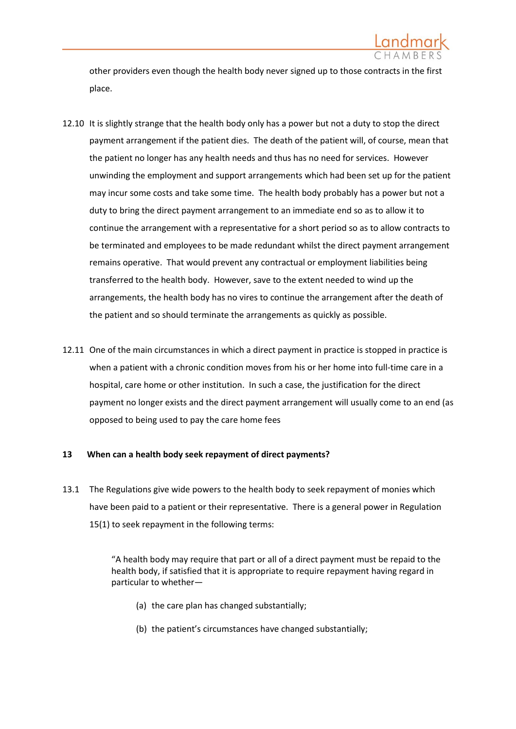

other providers even though the health body never signed up to those contracts in the first place.

- 12.10 It is slightly strange that the health body only has a power but not a duty to stop the direct payment arrangement if the patient dies. The death of the patient will, of course, mean that the patient no longer has any health needs and thus has no need for services. However unwinding the employment and support arrangements which had been set up for the patient may incur some costs and take some time. The health body probably has a power but not a duty to bring the direct payment arrangement to an immediate end so as to allow it to continue the arrangement with a representative for a short period so as to allow contracts to be terminated and employees to be made redundant whilst the direct payment arrangement remains operative. That would prevent any contractual or employment liabilities being transferred to the health body. However, save to the extent needed to wind up the arrangements, the health body has no vires to continue the arrangement after the death of the patient and so should terminate the arrangements as quickly as possible.
- 12.11 One of the main circumstances in which a direct payment in practice is stopped in practice is when a patient with a chronic condition moves from his or her home into full-time care in a hospital, care home or other institution. In such a case, the justification for the direct payment no longer exists and the direct payment arrangement will usually come to an end (as opposed to being used to pay the care home fees

### **13 When can a health body seek repayment of direct payments?**

13.1 The Regulations give wide powers to the health body to seek repayment of monies which have been paid to a patient or their representative. There is a general power in Regulation 15(1) to seek repayment in the following terms:

> "A health body may require that part or all of a direct payment must be repaid to the health body, if satisfied that it is appropriate to require repayment having regard in particular to whether—

- (a) the care plan has changed substantially;
- (b) the patient's circumstances have changed substantially;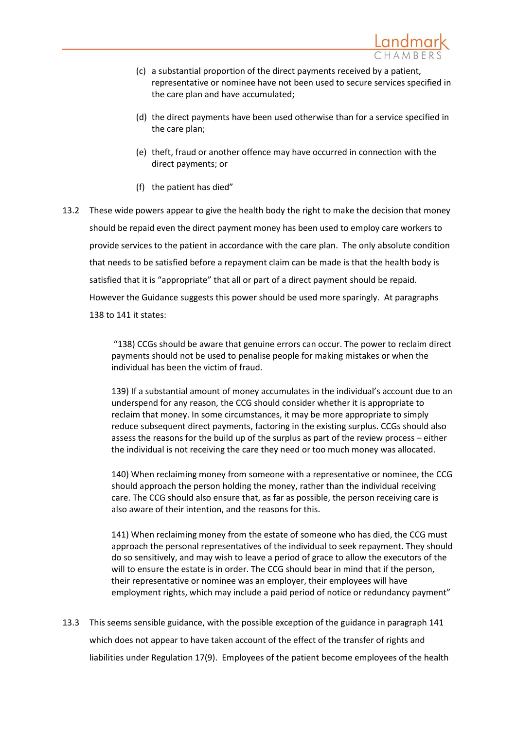

- (c) a substantial proportion of the direct payments received by a patient, representative or nominee have not been used to secure services specified in the care plan and have accumulated;
- (d) the direct payments have been used otherwise than for a service specified in the care plan;
- (e) theft, fraud or another offence may have occurred in connection with the direct payments; or
- (f) the patient has died"
- 13.2 These wide powers appear to give the health body the right to make the decision that money should be repaid even the direct payment money has been used to employ care workers to provide services to the patient in accordance with the care plan. The only absolute condition that needs to be satisfied before a repayment claim can be made is that the health body is satisfied that it is "appropriate" that all or part of a direct payment should be repaid. However the Guidance suggests this power should be used more sparingly. At paragraphs 138 to 141 it states:

"138) CCGs should be aware that genuine errors can occur. The power to reclaim direct payments should not be used to penalise people for making mistakes or when the individual has been the victim of fraud.

139) If a substantial amount of money accumulates in the individual's account due to an underspend for any reason, the CCG should consider whether it is appropriate to reclaim that money. In some circumstances, it may be more appropriate to simply reduce subsequent direct payments, factoring in the existing surplus. CCGs should also assess the reasons for the build up of the surplus as part of the review process – either the individual is not receiving the care they need or too much money was allocated.

140) When reclaiming money from someone with a representative or nominee, the CCG should approach the person holding the money, rather than the individual receiving care. The CCG should also ensure that, as far as possible, the person receiving care is also aware of their intention, and the reasons for this.

141) When reclaiming money from the estate of someone who has died, the CCG must approach the personal representatives of the individual to seek repayment. They should do so sensitively, and may wish to leave a period of grace to allow the executors of the will to ensure the estate is in order. The CCG should bear in mind that if the person, their representative or nominee was an employer, their employees will have employment rights, which may include a paid period of notice or redundancy payment"

13.3 This seems sensible guidance, with the possible exception of the guidance in paragraph 141 which does not appear to have taken account of the effect of the transfer of rights and liabilities under Regulation 17(9). Employees of the patient become employees of the health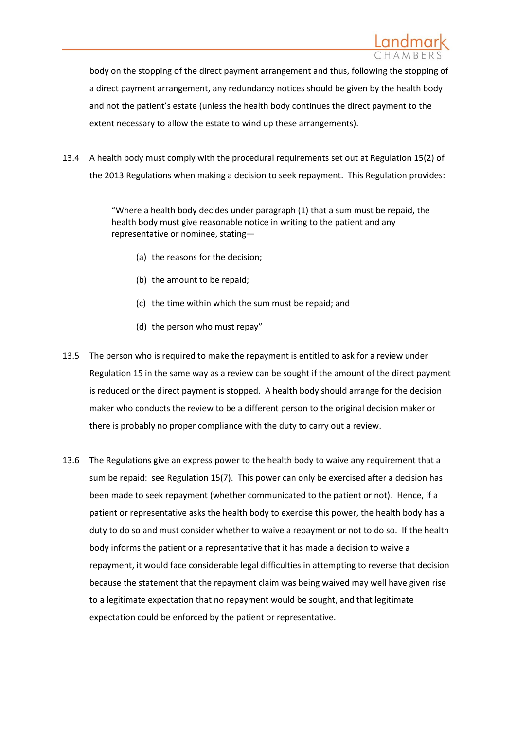

body on the stopping of the direct payment arrangement and thus, following the stopping of a direct payment arrangement, any redundancy notices should be given by the health body and not the patient's estate (unless the health body continues the direct payment to the extent necessary to allow the estate to wind up these arrangements).

13.4 A health body must comply with the procedural requirements set out at Regulation 15(2) of the 2013 Regulations when making a decision to seek repayment. This Regulation provides:

> "Where a health body decides under paragraph (1) that a sum must be repaid, the health body must give reasonable notice in writing to the patient and any representative or nominee, stating—

- (a) the reasons for the decision;
- (b) the amount to be repaid;
- (c) the time within which the sum must be repaid; and
- (d) the person who must repay"
- 13.5 The person who is required to make the repayment is entitled to ask for a review under Regulation 15 in the same way as a review can be sought if the amount of the direct payment is reduced or the direct payment is stopped. A health body should arrange for the decision maker who conducts the review to be a different person to the original decision maker or there is probably no proper compliance with the duty to carry out a review.
- 13.6 The Regulations give an express power to the health body to waive any requirement that a sum be repaid: see Regulation 15(7). This power can only be exercised after a decision has been made to seek repayment (whether communicated to the patient or not). Hence, if a patient or representative asks the health body to exercise this power, the health body has a duty to do so and must consider whether to waive a repayment or not to do so. If the health body informs the patient or a representative that it has made a decision to waive a repayment, it would face considerable legal difficulties in attempting to reverse that decision because the statement that the repayment claim was being waived may well have given rise to a legitimate expectation that no repayment would be sought, and that legitimate expectation could be enforced by the patient or representative.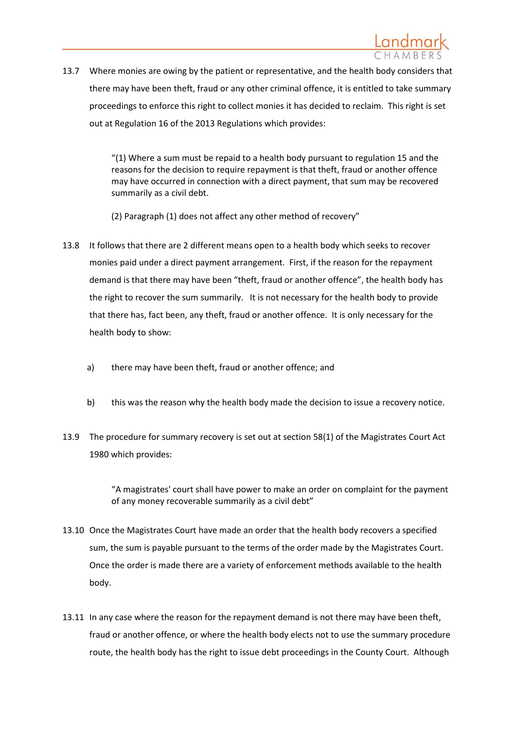

13.7 Where monies are owing by the patient or representative, and the health body considers that there may have been theft, fraud or any other criminal offence, it is entitled to take summary proceedings to enforce this right to collect monies it has decided to reclaim. This right is set out at Regulation 16 of the 2013 Regulations which provides:

> "(1) Where a sum must be repaid to a health body pursuant to regulation 15 and the reasons for the decision to require repayment is that theft, fraud or another offence may have occurred in connection with a direct payment, that sum may be recovered summarily as a civil debt.

(2) Paragraph (1) does not affect any other method of recovery"

- 13.8 It follows that there are 2 different means open to a health body which seeks to recover monies paid under a direct payment arrangement. First, if the reason for the repayment demand is that there may have been "theft, fraud or another offence", the health body has the right to recover the sum summarily. It is not necessary for the health body to provide that there has, fact been, any theft, fraud or another offence. It is only necessary for the health body to show:
	- a) there may have been theft, fraud or another offence; and
	- b) this was the reason why the health body made the decision to issue a recovery notice.
- 13.9 The procedure for summary recovery is set out at section 58(1) of the Magistrates Court Act 1980 which provides:

"A magistrates' court shall have power to make an order on complaint for the payment of any money recoverable summarily as a civil debt"

- 13.10 Once the Magistrates Court have made an order that the health body recovers a specified sum, the sum is payable pursuant to the terms of the order made by the Magistrates Court. Once the order is made there are a variety of enforcement methods available to the health body.
- 13.11 In any case where the reason for the repayment demand is not there may have been theft, fraud or another offence, or where the health body elects not to use the summary procedure route, the health body has the right to issue debt proceedings in the County Court. Although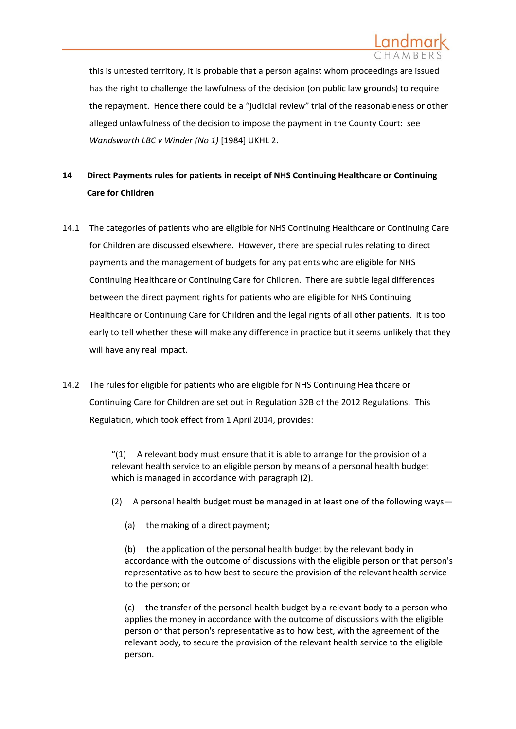

this is untested territory, it is probable that a person against whom proceedings are issued has the right to challenge the lawfulness of the decision (on public law grounds) to require the repayment. Hence there could be a "judicial review" trial of the reasonableness or other alleged unlawfulness of the decision to impose the payment in the County Court: see *[Wandsworth LBC v Winder \(No 1\)](http://www.logiclaw.co.uk/Acts/caselaw/Wandsworth.html)* [1984] UKHL 2.

# <span id="page-51-0"></span>**14 Direct Payments rules for patients in receipt of NHS Continuing Healthcare or Continuing Care for Children**

- 14.1 The categories of patients who are eligible for NHS Continuing Healthcare or Continuing Care for Children are discussed elsewhere. However, there are special rules relating to direct payments and the management of budgets for any patients who are eligible for NHS Continuing Healthcare or Continuing Care for Children. There are subtle legal differences between the direct payment rights for patients who are eligible for NHS Continuing Healthcare or Continuing Care for Children and the legal rights of all other patients. It is too early to tell whether these will make any difference in practice but it seems unlikely that they will have any real impact.
- 14.2 The rules for eligible for patients who are eligible for NHS Continuing Healthcare or Continuing Care for Children are set out in Regulation 32B of the 2012 Regulations. This Regulation, which took effect from 1 April 2014, provides:

" $(1)$  A relevant body must ensure that it is able to arrange for the provision of a relevant health service to an eligible person by means of a personal health budget which is managed in accordance with paragraph (2).

- (2) A personal health budget must be managed in at least one of the following ways—
	- (a) the making of a direct payment;

(b) the application of the personal health budget by the relevant body in accordance with the outcome of discussions with the eligible person or that person's representative as to how best to secure the provision of the relevant health service to the person; or

(c) the transfer of the personal health budget by a relevant body to a person who applies the money in accordance with the outcome of discussions with the eligible person or that person's representative as to how best, with the agreement of the relevant body, to secure the provision of the relevant health service to the eligible person.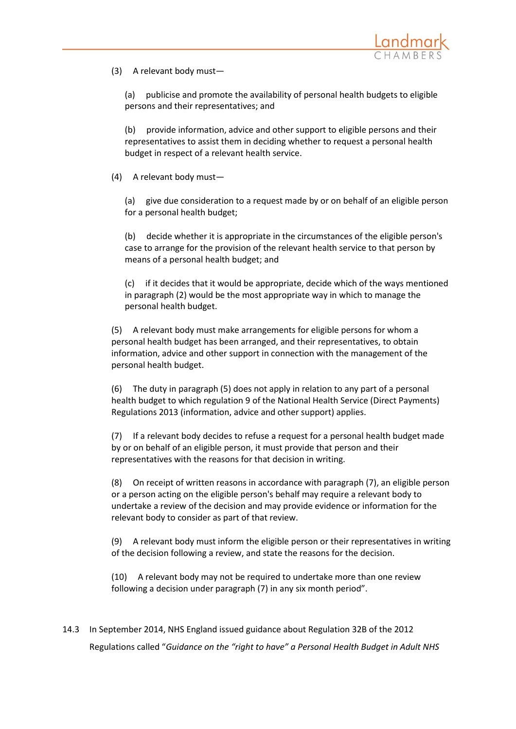

(3) A relevant body must—

(a) publicise and promote the availability of personal health budgets to eligible persons and their representatives; and

(b) provide information, advice and other support to eligible persons and their representatives to assist them in deciding whether to request a personal health budget in respect of a relevant health service.

(4) A relevant body must—

(a) give due consideration to a request made by or on behalf of an eligible person for a personal health budget;

(b) decide whether it is appropriate in the circumstances of the eligible person's case to arrange for the provision of the relevant health service to that person by means of a personal health budget; and

(c) if it decides that it would be appropriate, decide which of the ways mentioned in paragraph (2) would be the most appropriate way in which to manage the personal health budget.

(5) A relevant body must make arrangements for eligible persons for whom a personal health budget has been arranged, and their representatives, to obtain information, advice and other support in connection with the management of the personal health budget.

(6) The duty in paragraph (5) does not apply in relation to any part of a personal health budget to which regulation 9 of the National Health Service (Direct Payments) Regulations 2013 (information, advice and other support) applies.

(7) If a relevant body decides to refuse a request for a personal health budget made by or on behalf of an eligible person, it must provide that person and their representatives with the reasons for that decision in writing.

(8) On receipt of written reasons in accordance with paragraph (7), an eligible person or a person acting on the eligible person's behalf may require a relevant body to undertake a review of the decision and may provide evidence or information for the relevant body to consider as part of that review.

(9) A relevant body must inform the eligible person or their representatives in writing of the decision following a review, and state the reasons for the decision.

(10) A relevant body may not be required to undertake more than one review following a decision under paragraph (7) in any six month period".

14.3 In September 2014, NHS England issued guidance about Regulation 32B of the 2012 Regulations called "*Guidance on the "right to have" a Personal Health Budget in Adult NHS*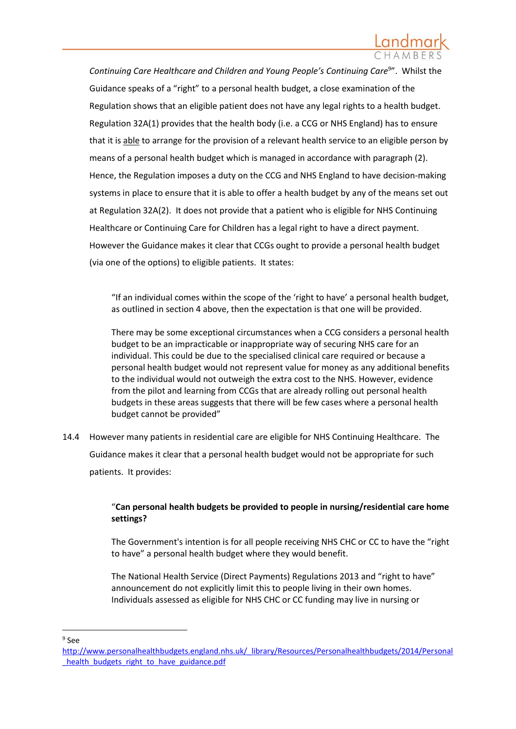Continuing Care Healthcare and Children and Young People's Continuing Care<sup>9</sup>". Whilst the Guidance speaks of a "right" to a personal health budget, a close examination of the Regulation shows that an eligible patient does not have any legal rights to a health budget. Regulation 32A(1) provides that the health body (i.e. a CCG or NHS England) has to ensure that it is able to arrange for the provision of a relevant health service to an eligible person by means of a personal health budget which is managed in accordance with paragraph (2). Hence, the Regulation imposes a duty on the CCG and NHS England to have decision-making systems in place to ensure that it is able to offer a health budget by any of the means set out at Regulation 32A(2). It does not provide that a patient who is eligible for NHS Continuing Healthcare or Continuing Care for Children has a legal right to have a direct payment. However the Guidance makes it clear that CCGs ought to provide a personal health budget (via one of the options) to eligible patients. It states:

"If an individual comes within the scope of the 'right to have' a personal health budget, as outlined in section 4 above, then the expectation is that one will be provided.

There may be some exceptional circumstances when a CCG considers a personal health budget to be an impracticable or inappropriate way of securing NHS care for an individual. This could be due to the specialised clinical care required or because a personal health budget would not represent value for money as any additional benefits to the individual would not outweigh the extra cost to the NHS. However, evidence from the pilot and learning from CCGs that are already rolling out personal health budgets in these areas suggests that there will be few cases where a personal health budget cannot be provided"

14.4 However many patients in residential care are eligible for NHS Continuing Healthcare. The Guidance makes it clear that a personal health budget would not be appropriate for such patients. It provides:

# "**Can personal health budgets be provided to people in nursing/residential care home settings?**

The Government's intention is for all people receiving NHS CHC or CC to have the "right to have" a personal health budget where they would benefit.

The National Health Service (Direct Payments) Regulations 2013 and "right to have" announcement do not explicitly limit this to people living in their own homes. Individuals assessed as eligible for NHS CHC or CC funding may live in nursing or

1 9 See

[http://www.personalhealthbudgets.england.nhs.uk/\\_library/Resources/Personalhealthbudgets/2014/Personal](http://www.personalhealthbudgets.england.nhs.uk/_library/Resources/Personalhealthbudgets/2014/Personal_health_budgets_right_to_have_guidance.pdf) [\\_health\\_budgets\\_right\\_to\\_have\\_guidance.pdf](http://www.personalhealthbudgets.england.nhs.uk/_library/Resources/Personalhealthbudgets/2014/Personal_health_budgets_right_to_have_guidance.pdf)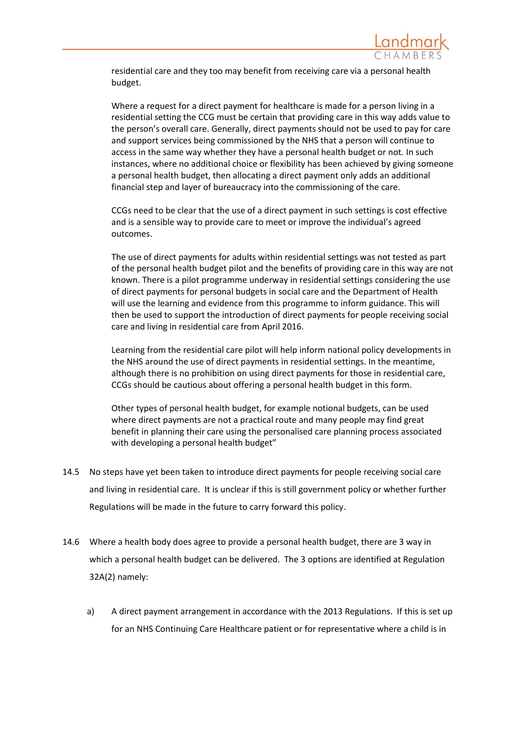

residential care and they too may benefit from receiving care via a personal health budget.

Where a request for a direct payment for healthcare is made for a person living in a residential setting the CCG must be certain that providing care in this way adds value to the person's overall care. Generally, direct payments should not be used to pay for care and support services being commissioned by the NHS that a person will continue to access in the same way whether they have a personal health budget or not*.* In such instances, where no additional choice or flexibility has been achieved by giving someone a personal health budget, then allocating a direct payment only adds an additional financial step and layer of bureaucracy into the commissioning of the care.

CCGs need to be clear that the use of a direct payment in such settings is cost effective and is a sensible way to provide care to meet or improve the individual's agreed outcomes.

The use of direct payments for adults within residential settings was not tested as part of the personal health budget pilot and the benefits of providing care in this way are not known. There is a pilot programme underway in residential settings considering the use of direct payments for personal budgets in social care and the Department of Health will use the learning and evidence from this programme to inform guidance. This will then be used to support the introduction of direct payments for people receiving social care and living in residential care from April 2016.

Learning from the residential care pilot will help inform national policy developments in the NHS around the use of direct payments in residential settings. In the meantime, although there is no prohibition on using direct payments for those in residential care, CCGs should be cautious about offering a personal health budget in this form.

Other types of personal health budget, for example notional budgets, can be used where direct payments are not a practical route and many people may find great benefit in planning their care using the personalised care planning process associated with developing a personal health budget"

- 14.5 No steps have yet been taken to introduce direct payments for people receiving social care and living in residential care. It is unclear if this is still government policy or whether further Regulations will be made in the future to carry forward this policy.
- 14.6 Where a health body does agree to provide a personal health budget, there are 3 way in which a personal health budget can be delivered. The 3 options are identified at Regulation 32A(2) namely:
	- a) A direct payment arrangement in accordance with the 2013 Regulations. If this is set up for an NHS Continuing Care Healthcare patient or for representative where a child is in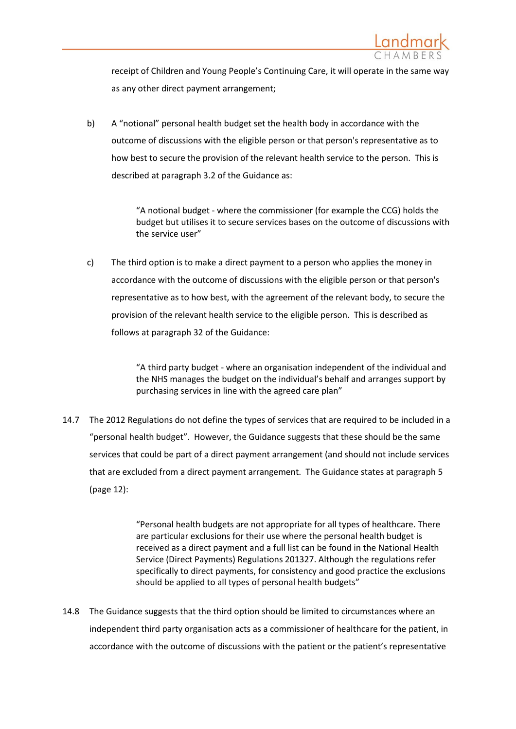

receipt of Children and Young People's Continuing Care, it will operate in the same way as any other direct payment arrangement;

b) A "notional" personal health budget set the health body in accordance with the outcome of discussions with the eligible person or that person's representative as to how best to secure the provision of the relevant health service to the person. This is described at paragraph 3.2 of the Guidance as:

> "A notional budget - where the commissioner (for example the CCG) holds the budget but utilises it to secure services bases on the outcome of discussions with the service user"

c) The third option is to make a direct payment to a person who applies the money in accordance with the outcome of discussions with the eligible person or that person's representative as to how best, with the agreement of the relevant body, to secure the provision of the relevant health service to the eligible person. This is described as follows at paragraph 32 of the Guidance:

> "A third party budget - where an organisation independent of the individual and the NHS manages the budget on the individual's behalf and arranges support by purchasing services in line with the agreed care plan"

14.7 The 2012 Regulations do not define the types of services that are required to be included in a "personal health budget". However, the Guidance suggests that these should be the same services that could be part of a direct payment arrangement (and should not include services that are excluded from a direct payment arrangement. The Guidance states at paragraph 5 (page 12):

> "Personal health budgets are not appropriate for all types of healthcare. There are particular exclusions for their use where the personal health budget is received as a direct payment and a full list can be found in the National Health Service (Direct Payments) Regulations 201327. Although the regulations refer specifically to direct payments, for consistency and good practice the exclusions should be applied to all types of personal health budgets"

14.8 The Guidance suggests that the third option should be limited to circumstances where an independent third party organisation acts as a commissioner of healthcare for the patient, in accordance with the outcome of discussions with the patient or the patient's representative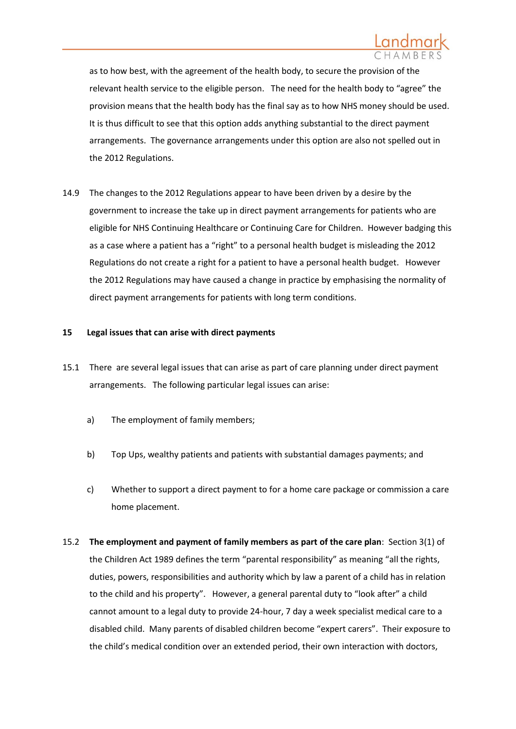

as to how best, with the agreement of the health body, to secure the provision of the relevant health service to the eligible person. The need for the health body to "agree" the provision means that the health body has the final say as to how NHS money should be used. It is thus difficult to see that this option adds anything substantial to the direct payment arrangements. The governance arrangements under this option are also not spelled out in the 2012 Regulations.

14.9 The changes to the 2012 Regulations appear to have been driven by a desire by the government to increase the take up in direct payment arrangements for patients who are eligible for NHS Continuing Healthcare or Continuing Care for Children. However badging this as a case where a patient has a "right" to a personal health budget is misleading the 2012 Regulations do not create a right for a patient to have a personal health budget. However the 2012 Regulations may have caused a change in practice by emphasising the normality of direct payment arrangements for patients with long term conditions.

### **15 Legal issues that can arise with direct payments**

- 15.1 There are several legal issues that can arise as part of care planning under direct payment arrangements. The following particular legal issues can arise:
	- a) The employment of family members;
	- b) Top Ups, wealthy patients and patients with substantial damages payments; and
	- c) Whether to support a direct payment to for a home care package or commission a care home placement.
- 15.2 **The employment and payment of family members as part of the care plan**: Section 3(1) of the Children Act 1989 defines the term "parental responsibility" as meaning "all the rights, duties, powers, responsibilities and authority which by law a parent of a child has in relation to the child and his property". However, a general parental duty to "look after" a child cannot amount to a legal duty to provide 24-hour, 7 day a week specialist medical care to a disabled child. Many parents of disabled children become "expert carers". Their exposure to the child's medical condition over an extended period, their own interaction with doctors,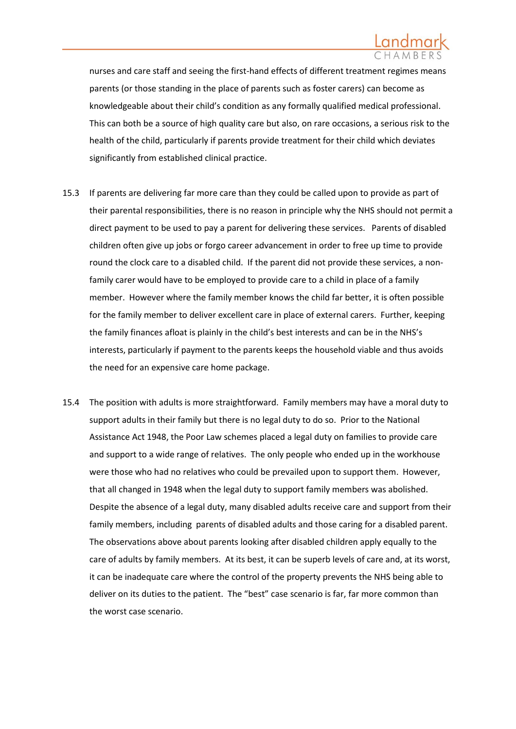

nurses and care staff and seeing the first-hand effects of different treatment regimes means parents (or those standing in the place of parents such as foster carers) can become as knowledgeable about their child's condition as any formally qualified medical professional. This can both be a source of high quality care but also, on rare occasions, a serious risk to the health of the child, particularly if parents provide treatment for their child which deviates significantly from established clinical practice.

- 15.3 If parents are delivering far more care than they could be called upon to provide as part of their parental responsibilities, there is no reason in principle why the NHS should not permit a direct payment to be used to pay a parent for delivering these services. Parents of disabled children often give up jobs or forgo career advancement in order to free up time to provide round the clock care to a disabled child. If the parent did not provide these services, a nonfamily carer would have to be employed to provide care to a child in place of a family member. However where the family member knows the child far better, it is often possible for the family member to deliver excellent care in place of external carers. Further, keeping the family finances afloat is plainly in the child's best interests and can be in the NHS's interests, particularly if payment to the parents keeps the household viable and thus avoids the need for an expensive care home package.
- 15.4 The position with adults is more straightforward. Family members may have a moral duty to support adults in their family but there is no legal duty to do so. Prior to the National Assistance Act 1948, the Poor Law schemes placed a legal duty on families to provide care and support to a wide range of relatives. The only people who ended up in the workhouse were those who had no relatives who could be prevailed upon to support them. However, that all changed in 1948 when the legal duty to support family members was abolished. Despite the absence of a legal duty, many disabled adults receive care and support from their family members, including parents of disabled adults and those caring for a disabled parent. The observations above about parents looking after disabled children apply equally to the care of adults by family members. At its best, it can be superb levels of care and, at its worst, it can be inadequate care where the control of the property prevents the NHS being able to deliver on its duties to the patient. The "best" case scenario is far, far more common than the worst case scenario.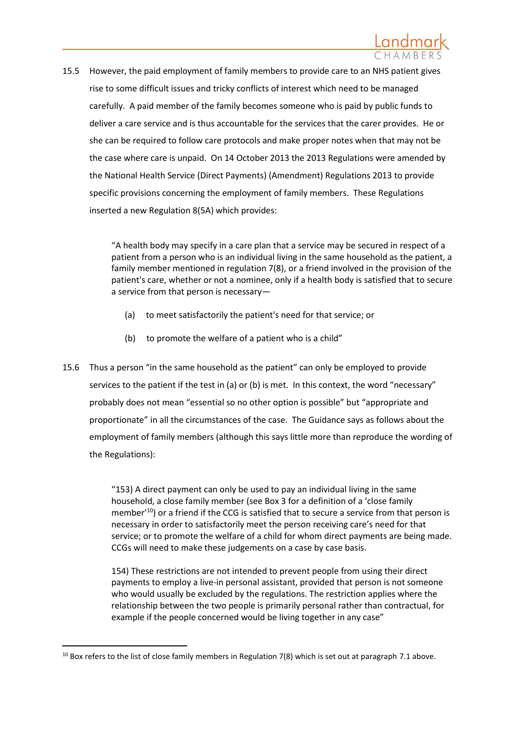

15.5 However, the paid employment of family members to provide care to an NHS patient gives rise to some difficult issues and tricky conflicts of interest which need to be managed carefully. A paid member of the family becomes someone who is paid by public funds to deliver a care service and is thus accountable for the services that the carer provides. He or she can be required to follow care protocols and make proper notes when that may not be the case where care is unpaid. On 14 October 2013 the 2013 Regulations were amended by the National Health Service (Direct Payments) (Amendment) Regulations 2013 to provide specific provisions concerning the employment of family members. These Regulations inserted a new Regulation 8(5A) which provides:

> "A health body may specify in a care plan that a service may be secured in respect of a patient from a person who is an individual living in the same household as the patient, a family member mentioned in regulation 7(8), or a friend involved in the provision of the patient's care, whether or not a nominee, only if a health body is satisfied that to secure a service from that person is necessary—

- (a) to meet satisfactorily the patient's need for that service; or
- (b) to promote the welfare of a patient who is a child"
- 15.6 Thus a person "in the same household as the patient" can only be employed to provide services to the patient if the test in (a) or (b) is met. In this context, the word "necessary" probably does not mean "essential so no other option is possible" but "appropriate and proportionate" in all the circumstances of the case. The Guidance says as follows about the employment of family members (although this says little more than reproduce the wording of the Regulations):

"153) A direct payment can only be used to pay an individual living in the same household, a close family member (see Box 3 for a definition of a 'close family member<sup>'10</sup>) or a friend if the CCG is satisfied that to secure a service from that person is necessary in order to satisfactorily meet the person receiving care's need for that service; or to promote the welfare of a child for whom direct payments are being made. CCGs will need to make these judgements on a case by case basis.

154) These restrictions are not intended to prevent people from using their direct payments to employ a live-in personal assistant, provided that person is not someone who would usually be excluded by the regulations. The restriction applies where the relationship between the two people is primarily personal rather than contractual, for example if the people concerned would be living together in any case"

 $10$  Box refers to the list of close family members in Regulation 7(8) which is set out at paragraph [7.1](#page-16-0) above.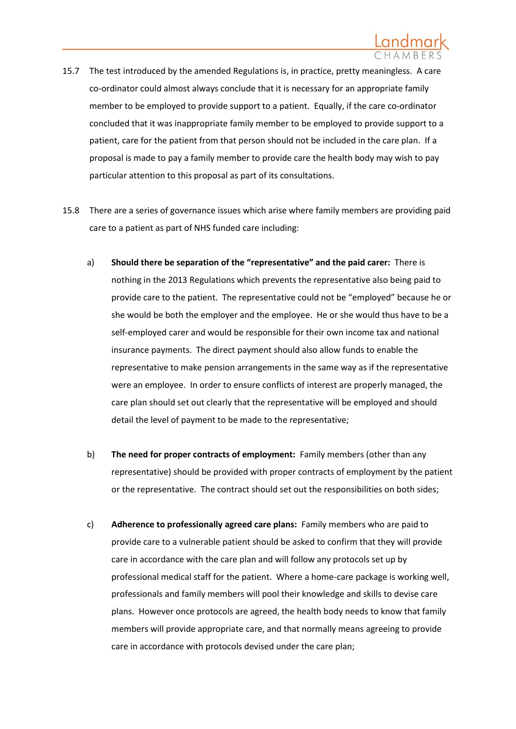

- 15.7 The test introduced by the amended Regulations is, in practice, pretty meaningless. A care co-ordinator could almost always conclude that it is necessary for an appropriate family member to be employed to provide support to a patient. Equally, if the care co-ordinator concluded that it was inappropriate family member to be employed to provide support to a patient, care for the patient from that person should not be included in the care plan. If a proposal is made to pay a family member to provide care the health body may wish to pay particular attention to this proposal as part of its consultations.
- 15.8 There are a series of governance issues which arise where family members are providing paid care to a patient as part of NHS funded care including:
	- a) **Should there be separation of the "representative" and the paid carer:** There is nothing in the 2013 Regulations which prevents the representative also being paid to provide care to the patient. The representative could not be "employed" because he or she would be both the employer and the employee. He or she would thus have to be a self-employed carer and would be responsible for their own income tax and national insurance payments. The direct payment should also allow funds to enable the representative to make pension arrangements in the same way as if the representative were an employee. In order to ensure conflicts of interest are properly managed, the care plan should set out clearly that the representative will be employed and should detail the level of payment to be made to the representative;
	- b) **The need for proper contracts of employment:** Family members (other than any representative) should be provided with proper contracts of employment by the patient or the representative. The contract should set out the responsibilities on both sides;
	- c) **Adherence to professionally agreed care plans:** Family members who are paid to provide care to a vulnerable patient should be asked to confirm that they will provide care in accordance with the care plan and will follow any protocols set up by professional medical staff for the patient. Where a home-care package is working well, professionals and family members will pool their knowledge and skills to devise care plans. However once protocols are agreed, the health body needs to know that family members will provide appropriate care, and that normally means agreeing to provide care in accordance with protocols devised under the care plan;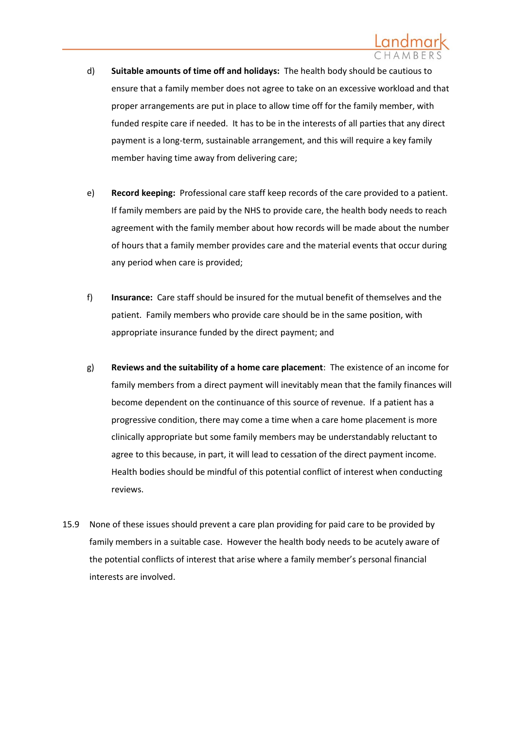- d) **Suitable amounts of time off and holidays:** The health body should be cautious to ensure that a family member does not agree to take on an excessive workload and that proper arrangements are put in place to allow time off for the family member, with funded respite care if needed. It has to be in the interests of all parties that any direct payment is a long-term, sustainable arrangement, and this will require a key family member having time away from delivering care;
- e) **Record keeping:** Professional care staff keep records of the care provided to a patient. If family members are paid by the NHS to provide care, the health body needs to reach agreement with the family member about how records will be made about the number of hours that a family member provides care and the material events that occur during any period when care is provided;
- f) **Insurance:** Care staff should be insured for the mutual benefit of themselves and the patient. Family members who provide care should be in the same position, with appropriate insurance funded by the direct payment; and
- g) **Reviews and the suitability of a home care placement**: The existence of an income for family members from a direct payment will inevitably mean that the family finances will become dependent on the continuance of this source of revenue. If a patient has a progressive condition, there may come a time when a care home placement is more clinically appropriate but some family members may be understandably reluctant to agree to this because, in part, it will lead to cessation of the direct payment income. Health bodies should be mindful of this potential conflict of interest when conducting reviews.
- 15.9 None of these issues should prevent a care plan providing for paid care to be provided by family members in a suitable case. However the health body needs to be acutely aware of the potential conflicts of interest that arise where a family member's personal financial interests are involved.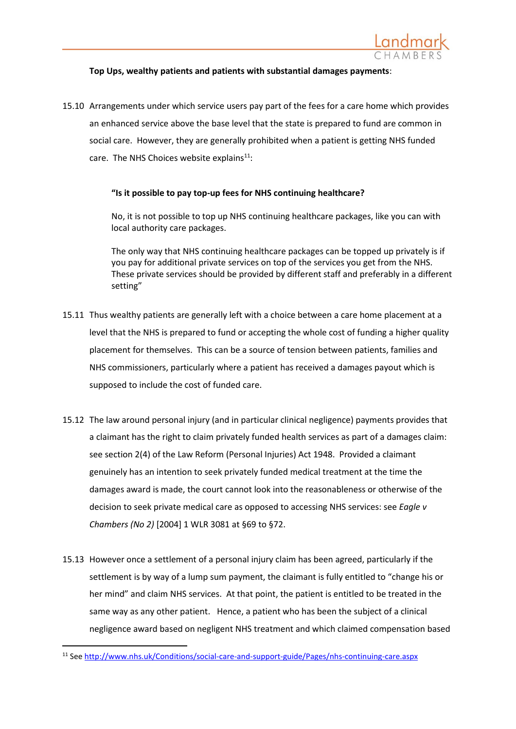

### **Top Ups, wealthy patients and patients with substantial damages payments**:

15.10 Arrangements under which service users pay part of the fees for a care home which provides an enhanced service above the base level that the state is prepared to fund are common in social care. However, they are generally prohibited when a patient is getting NHS funded care. The NHS Choices website explains $11$ :

### **"Is it possible to pay top-up fees for NHS continuing healthcare?**

No, it is not possible to top up NHS continuing healthcare packages, like you can with local authority care packages.

The only way that NHS continuing healthcare packages can be topped up privately is if you pay for additional private services on top of the services you get from the NHS. These private services should be provided by different staff and preferably in a different setting"

- 15.11 Thus wealthy patients are generally left with a choice between a care home placement at a level that the NHS is prepared to fund or accepting the whole cost of funding a higher quality placement for themselves. This can be a source of tension between patients, families and NHS commissioners, particularly where a patient has received a damages payout which is supposed to include the cost of funded care.
- 15.12 The law around personal injury (and in particular clinical negligence) payments provides that a claimant has the right to claim privately funded health services as part of a damages claim: see section 2(4) of the Law Reform (Personal Injuries) Act 1948. Provided a claimant genuinely has an intention to seek privately funded medical treatment at the time the damages award is made, the court cannot look into the reasonableness or otherwise of the decision to seek private medical care as opposed to accessing NHS services: see *Eagle v Chambers (No 2)* [2004] 1 WLR 3081 at §69 to §72.
- 15.13 However once a settlement of a personal injury claim has been agreed, particularly if the settlement is by way of a lump sum payment, the claimant is fully entitled to "change his or her mind" and claim NHS services. At that point, the patient is entitled to be treated in the same way as any other patient. Hence, a patient who has been the subject of a clinical negligence award based on negligent NHS treatment and which claimed compensation based

<sup>11</sup> Se[e http://www.nhs.uk/Conditions/social-care-and-support-guide/Pages/nhs-continuing-care.aspx](http://www.nhs.uk/Conditions/social-care-and-support-guide/Pages/nhs-continuing-care.aspx)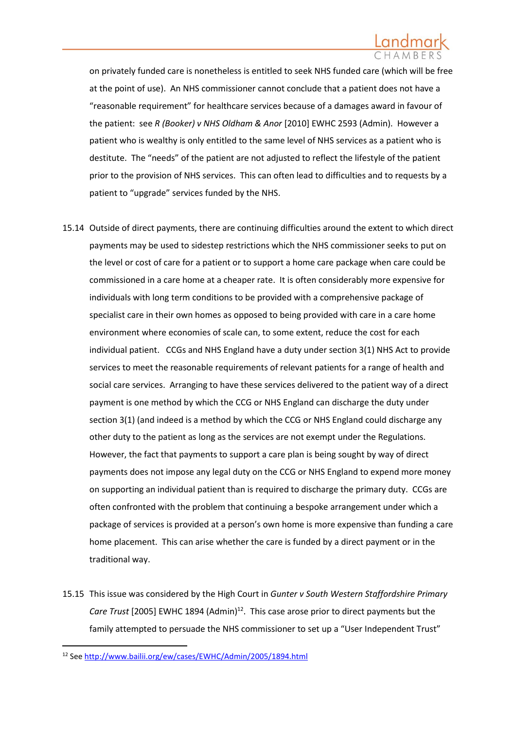on privately funded care is nonetheless is entitled to seek NHS funded care (which will be free at the point of use). An NHS commissioner cannot conclude that a patient does not have a "reasonable requirement" for healthcare services because of a damages award in favour of the patient: see *R (Booker) v NHS Oldham & Anor* [2010] EWHC 2593 (Admin). However a patient who is wealthy is only entitled to the same level of NHS services as a patient who is destitute. The "needs" of the patient are not adjusted to reflect the lifestyle of the patient prior to the provision of NHS services. This can often lead to difficulties and to requests by a patient to "upgrade" services funded by the NHS.

- 15.14 Outside of direct payments, there are continuing difficulties around the extent to which direct payments may be used to sidestep restrictions which the NHS commissioner seeks to put on the level or cost of care for a patient or to support a home care package when care could be commissioned in a care home at a cheaper rate. It is often considerably more expensive for individuals with long term conditions to be provided with a comprehensive package of specialist care in their own homes as opposed to being provided with care in a care home environment where economies of scale can, to some extent, reduce the cost for each individual patient. CCGs and NHS England have a duty under section 3(1) NHS Act to provide services to meet the reasonable requirements of relevant patients for a range of health and social care services. Arranging to have these services delivered to the patient way of a direct payment is one method by which the CCG or NHS England can discharge the duty under section 3(1) (and indeed is a method by which the CCG or NHS England could discharge any other duty to the patient as long as the services are not exempt under the Regulations. However, the fact that payments to support a care plan is being sought by way of direct payments does not impose any legal duty on the CCG or NHS England to expend more money on supporting an individual patient than is required to discharge the primary duty. CCGs are often confronted with the problem that continuing a bespoke arrangement under which a package of services is provided at a person's own home is more expensive than funding a care home placement. This can arise whether the care is funded by a direct payment or in the traditional way.
- 15.15 This issue was considered by the High Court in *Gunter v South Western Staffordshire Primary Care Trust* [2005] EWHC 1894 (Admin)<sup>12</sup>. This case arose prior to direct payments but the family attempted to persuade the NHS commissioner to set up a "User Independent Trust"

<sup>12</sup> Se[e http://www.bailii.org/ew/cases/EWHC/Admin/2005/1894.html](http://www.bailii.org/ew/cases/EWHC/Admin/2005/1894.html)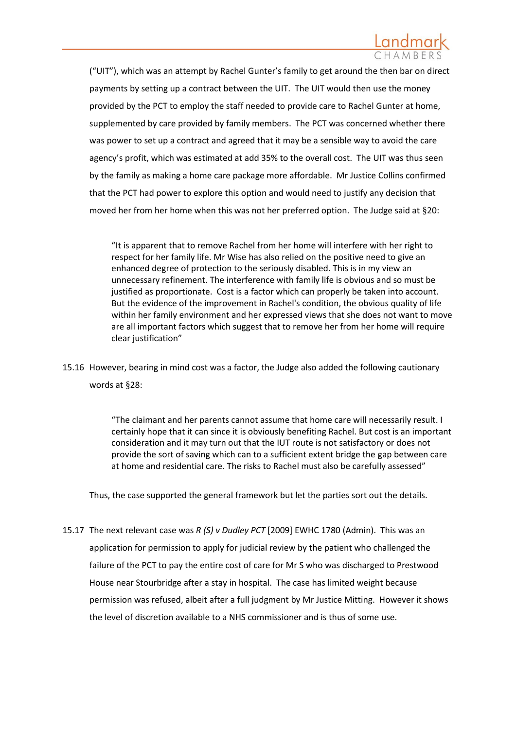("UIT"), which was an attempt by Rachel Gunter's family to get around the then bar on direct payments by setting up a contract between the UIT. The UIT would then use the money provided by the PCT to employ the staff needed to provide care to Rachel Gunter at home, supplemented by care provided by family members. The PCT was concerned whether there was power to set up a contract and agreed that it may be a sensible way to avoid the care agency's profit, which was estimated at add 35% to the overall cost. The UIT was thus seen by the family as making a home care package more affordable. Mr Justice Collins confirmed that the PCT had power to explore this option and would need to justify any decision that moved her from her home when this was not her preferred option. The Judge said at §20:

"It is apparent that to remove Rachel from her home will interfere with her right to respect for her family life. Mr Wise has also relied on the positive need to give an enhanced degree of protection to the seriously disabled. This is in my view an unnecessary refinement. The interference with family life is obvious and so must be justified as proportionate. Cost is a factor which can properly be taken into account. But the evidence of the improvement in Rachel's condition, the obvious quality of life within her family environment and her expressed views that she does not want to move are all important factors which suggest that to remove her from her home will require clear justification"

15.16 However, bearing in mind cost was a factor, the Judge also added the following cautionary words at §28:

> "The claimant and her parents cannot assume that home care will necessarily result. I certainly hope that it can since it is obviously benefiting Rachel. But cost is an important consideration and it may turn out that the IUT route is not satisfactory or does not provide the sort of saving which can to a sufficient extent bridge the gap between care at home and residential care. The risks to Rachel must also be carefully assessed"

Thus, the case supported the general framework but let the parties sort out the details.

15.17 The next relevant case was *R (S) v Dudley PCT* [2009] EWHC 1780 (Admin). This was an application for permission to apply for judicial review by the patient who challenged the failure of the PCT to pay the entire cost of care for Mr S who was discharged to Prestwood House near Stourbridge after a stay in hospital. The case has limited weight because permission was refused, albeit after a full judgment by Mr Justice Mitting. However it shows the level of discretion available to a NHS commissioner and is thus of some use.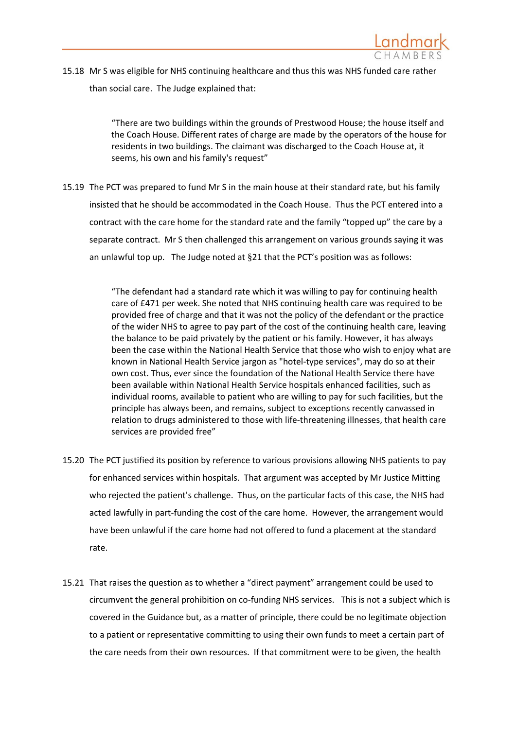

15.18 Mr S was eligible for NHS continuing healthcare and thus this was NHS funded care rather than social care. The Judge explained that:

> "There are two buildings within the grounds of Prestwood House; the house itself and the Coach House. Different rates of charge are made by the operators of the house for residents in two buildings. The claimant was discharged to the Coach House at, it seems, his own and his family's request"

15.19 The PCT was prepared to fund Mr S in the main house at their standard rate, but his family insisted that he should be accommodated in the Coach House. Thus the PCT entered into a contract with the care home for the standard rate and the family "topped up" the care by a separate contract. Mr S then challenged this arrangement on various grounds saying it was an unlawful top up. The Judge noted at §21 that the PCT's position was as follows:

> "The defendant had a standard rate which it was willing to pay for continuing health care of £471 per week. She noted that NHS continuing health care was required to be provided free of charge and that it was not the policy of the defendant or the practice of the wider NHS to agree to pay part of the cost of the continuing health care, leaving the balance to be paid privately by the patient or his family. However, it has always been the case within the National Health Service that those who wish to enjoy what are known in National Health Service jargon as "hotel-type services", may do so at their own cost. Thus, ever since the foundation of the National Health Service there have been available within National Health Service hospitals enhanced facilities, such as individual rooms, available to patient who are willing to pay for such facilities, but the principle has always been, and remains, subject to exceptions recently canvassed in relation to drugs administered to those with life-threatening illnesses, that health care services are provided free"

- 15.20 The PCT justified its position by reference to various provisions allowing NHS patients to pay for enhanced services within hospitals. That argument was accepted by Mr Justice Mitting who rejected the patient's challenge. Thus, on the particular facts of this case, the NHS had acted lawfully in part-funding the cost of the care home. However, the arrangement would have been unlawful if the care home had not offered to fund a placement at the standard rate.
- 15.21 That raises the question as to whether a "direct payment" arrangement could be used to circumvent the general prohibition on co-funding NHS services. This is not a subject which is covered in the Guidance but, as a matter of principle, there could be no legitimate objection to a patient or representative committing to using their own funds to meet a certain part of the care needs from their own resources. If that commitment were to be given, the health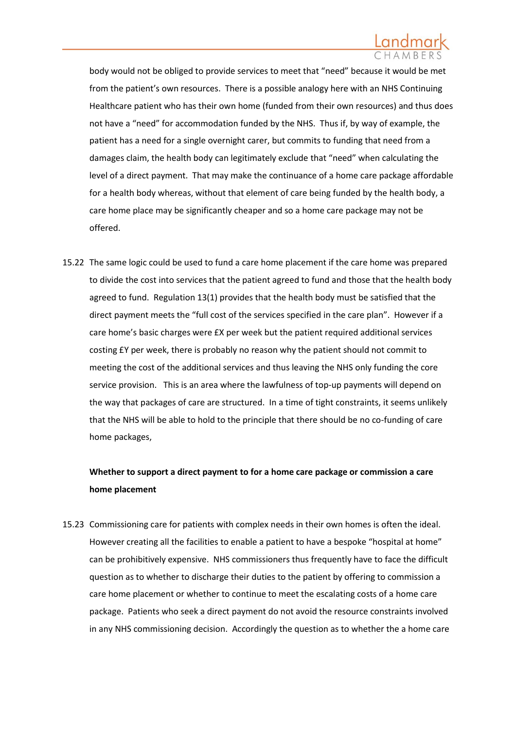body would not be obliged to provide services to meet that "need" because it would be met from the patient's own resources. There is a possible analogy here with an NHS Continuing Healthcare patient who has their own home (funded from their own resources) and thus does not have a "need" for accommodation funded by the NHS. Thus if, by way of example, the patient has a need for a single overnight carer, but commits to funding that need from a damages claim, the health body can legitimately exclude that "need" when calculating the level of a direct payment. That may make the continuance of a home care package affordable for a health body whereas, without that element of care being funded by the health body, a care home place may be significantly cheaper and so a home care package may not be offered.

15.22 The same logic could be used to fund a care home placement if the care home was prepared to divide the cost into services that the patient agreed to fund and those that the health body agreed to fund. Regulation 13(1) provides that the health body must be satisfied that the direct payment meets the "full cost of the services specified in the care plan". However if a care home's basic charges were £X per week but the patient required additional services costing £Y per week, there is probably no reason why the patient should not commit to meeting the cost of the additional services and thus leaving the NHS only funding the core service provision. This is an area where the lawfulness of top-up payments will depend on the way that packages of care are structured. In a time of tight constraints, it seems unlikely that the NHS will be able to hold to the principle that there should be no co-funding of care home packages,

# **Whether to support a direct payment to for a home care package or commission a care home placement**

15.23 Commissioning care for patients with complex needs in their own homes is often the ideal. However creating all the facilities to enable a patient to have a bespoke "hospital at home" can be prohibitively expensive. NHS commissioners thus frequently have to face the difficult question as to whether to discharge their duties to the patient by offering to commission a care home placement or whether to continue to meet the escalating costs of a home care package. Patients who seek a direct payment do not avoid the resource constraints involved in any NHS commissioning decision. Accordingly the question as to whether the a home care